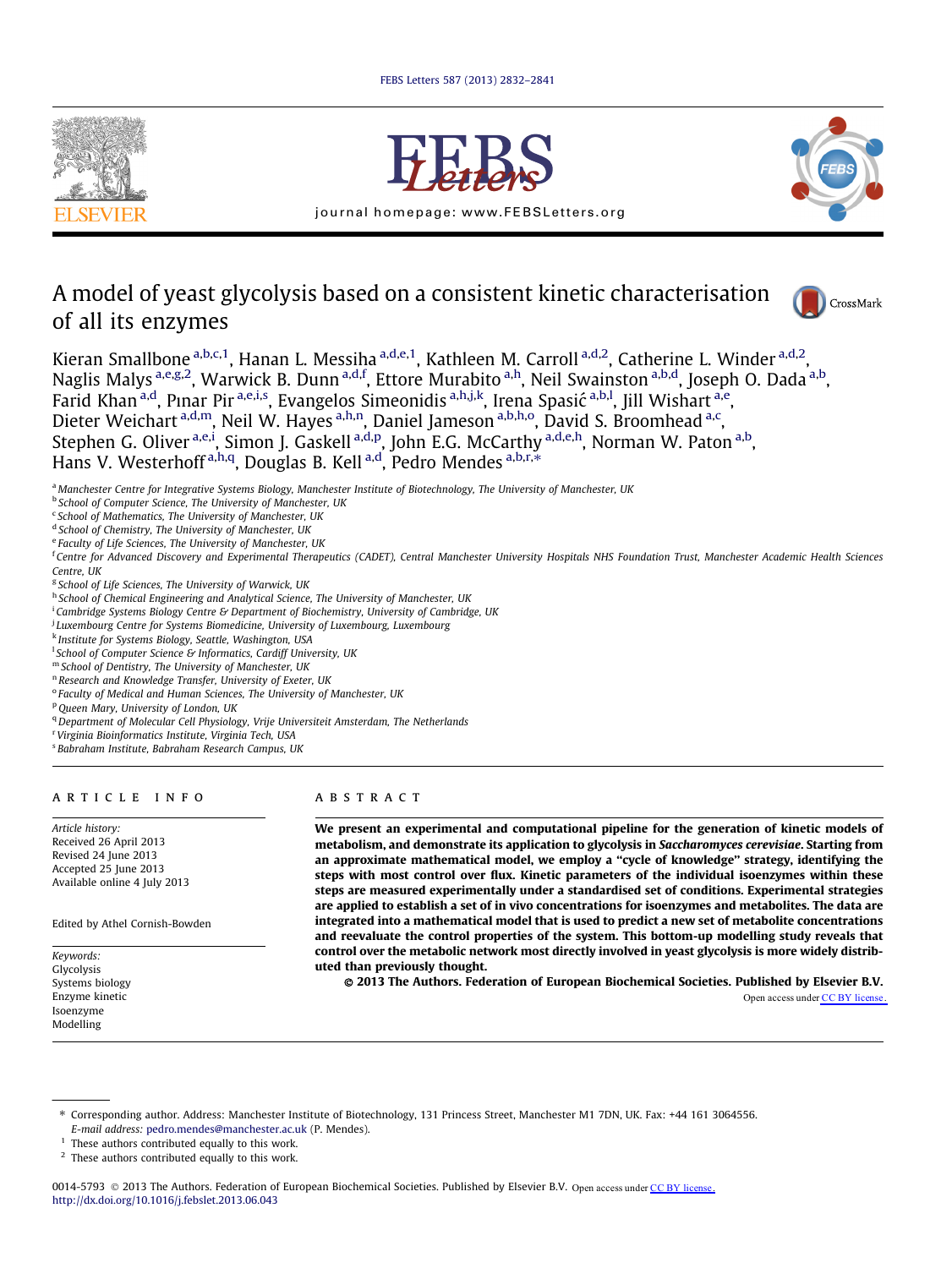



journal homepage: [www.FEBSLetters.org](http://www.FEBSLetters.org)



# A model of yeast glycolysis based on a consistent kinetic characterisation of all its enzymes



Kieran Smallbone <sup>a,b,c,1</sup>, Hanan L. Messiha <sup>a,d,e,1</sup>, Kathleen M. Carroll <sup>a,d,2</sup>, Catherine L. Winder <sup>a,d,2</sup>, Naglis Malys <sup>a,e,g,2</sup>, Warwick B. Dunn <sup>a,d,f</sup>, Ettore Murabito <sup>a,h</sup>, Neil Swainston <sup>a,b,d</sup>, Joseph O. Dada <sup>a,b</sup>, Farid Khan <sup>a,d</sup>, Pınar Pir <sup>a,e,i,s</sup>, Evangelos Simeonidis <sup>a,h,j,k</sup>, Irena Spasić <sup>a,b,l</sup>, Jill Wishart <sup>a,e</sup>, Dieter Weichart <sup>a,d,m</sup>, Neil W. Hayes <sup>a,h,n</sup>, Daniel Jameson <sup>a,b,h,o</sup>, David S. Broomhead <sup>a,c</sup>, Stephen G. Oliver <sup>a,e,i</sup>, Simon J. Gaskell <sup>a,d,p</sup>, John E.G. McCarthy <sup>a,d,e,h</sup>, Norman W. Paton <sup>a,b</sup>, Hans V. Westerhoff a,h,q, Douglas B. Kell <sup>a,d</sup>, Pedro Mendes <sup>a,b,r,\*</sup>

a Manchester Centre for Integrative Systems Biology, Manchester Institute of Biotechnology, The University of Manchester, UK

**b** School of Computer Science, The University of Manchester, UK

<sup>c</sup> School of Mathematics, The University of Manchester, UK

<sup>d</sup> School of Chemistry, The University of Manchester, UK

<sup>e</sup> Faculty of Life Sciences, The University of Manchester, UK

f Centre for Advanced Discovery and Experimental Therapeutics (CADET), Central Manchester University Hospitals NHS Foundation Trust, Manchester Academic Health Sciences Centre, UK

<sup>g</sup> School of Life Sciences, The University of Warwick, UK

h School of Chemical Engineering and Analytical Science, The University of Manchester, UK

<sup>i</sup> Cambridge Systems Biology Centre & Department of Biochemistry, University of Cambridge, UK

<sup>j</sup> Luxembourg Centre for Systems Biomedicine, University of Luxembourg, Luxembourg

<sup>k</sup> Institute for Systems Biology, Seattle, Washington, USA

 $^{\rm l}$  School of Computer Science & Informatics, Cardiff University, UK

m School of Dentistry, The University of Manchester, UK

<sup>n</sup> Research and Knowledge Transfer, University of Exeter, UK

<sup>o</sup> Faculty of Medical and Human Sciences, The University of Manchester, UK

<sup>p</sup> Queen Mary, University of London, UK

<sup>q</sup> Department of Molecular Cell Physiology, Vrije Universiteit Amsterdam, The Netherlands

r Virginia Bioinformatics Institute, Virginia Tech, USA

<sup>s</sup> Babraham Institute, Babraham Research Campus, UK

## article info

Article history: Received 26 April 2013 Revised 24 June 2013 Accepted 25 June 2013 Available online 4 July 2013

Edited by Athel Cornish-Bowden

Keywords: Glycolysis Systems biology Enzyme kinetic Isoenzyme Modelling

## ABSTRACT

We present an experimental and computational pipeline for the generation of kinetic models of metabolism, and demonstrate its application to glycolysis in Saccharomyces cerevisiae. Starting from an approximate mathematical model, we employ a ''cycle of knowledge'' strategy, identifying the steps with most control over flux. Kinetic parameters of the individual isoenzymes within these steps are measured experimentally under a standardised set of conditions. Experimental strategies are applied to establish a set of in vivo concentrations for isoenzymes and metabolites. The data are integrated into a mathematical model that is used to predict a new set of metabolite concentrations and reevaluate the control properties of the system. This bottom-up modelling study reveals that control over the metabolic network most directly involved in yeast glycolysis is more widely distributed than previously thought.

- 2013 The Authors. Federation of European Biochemical Societies. Published by Elsevier B.V. Open access under [CC BY license.](http://creativecommons.org/licenses/by/3.0/)

⇑ Corresponding author. Address: Manchester Institute of Biotechnology, 131 Princess Street, Manchester M1 7DN, UK. Fax: +44 161 3064556. E-mail address: [pedro.mendes@manchester.ac.uk](mailto:pedro.mendes@manchester.ac.uk) (P. Mendes).

 $1$  These authors contributed equally to this work.

0014-5793 © 2013 The Authors. Federation of European Biochemical Societies. Published by Elsevier B.V. Open access under [CC BY license.](http://creativecommons.org/licenses/by/3.0/) <http://dx.doi.org/10.1016/j.febslet.2013.06.043>

<sup>&</sup>lt;sup>2</sup> These authors contributed equally to this work.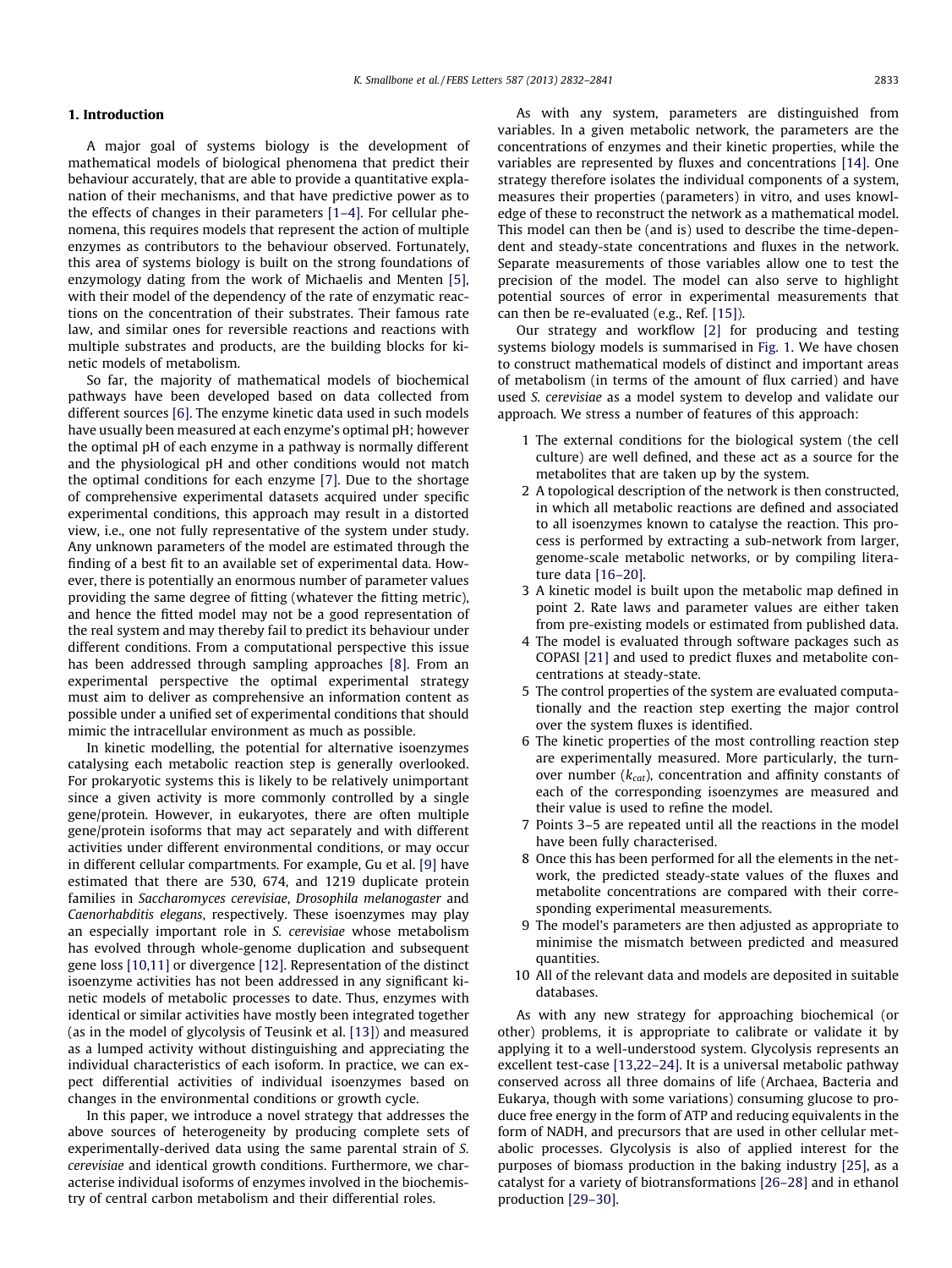## 1. Introduction

A major goal of systems biology is the development of mathematical models of biological phenomena that predict their behaviour accurately, that are able to provide a quantitative explanation of their mechanisms, and that have predictive power as to the effects of changes in their parameters [\[1–4\].](#page-7-0) For cellular phenomena, this requires models that represent the action of multiple enzymes as contributors to the behaviour observed. Fortunately, this area of systems biology is built on the strong foundations of enzymology dating from the work of Michaelis and Menten [\[5\],](#page-7-0) with their model of the dependency of the rate of enzymatic reactions on the concentration of their substrates. Their famous rate law, and similar ones for reversible reactions and reactions with multiple substrates and products, are the building blocks for kinetic models of metabolism.

So far, the majority of mathematical models of biochemical pathways have been developed based on data collected from different sources [\[6\].](#page-7-0) The enzyme kinetic data used in such models have usually been measured at each enzyme's optimal pH; however the optimal pH of each enzyme in a pathway is normally different and the physiological pH and other conditions would not match the optimal conditions for each enzyme [\[7\]](#page-7-0). Due to the shortage of comprehensive experimental datasets acquired under specific experimental conditions, this approach may result in a distorted view, i.e., one not fully representative of the system under study. Any unknown parameters of the model are estimated through the finding of a best fit to an available set of experimental data. However, there is potentially an enormous number of parameter values providing the same degree of fitting (whatever the fitting metric), and hence the fitted model may not be a good representation of the real system and may thereby fail to predict its behaviour under different conditions. From a computational perspective this issue has been addressed through sampling approaches [\[8\].](#page-7-0) From an experimental perspective the optimal experimental strategy must aim to deliver as comprehensive an information content as possible under a unified set of experimental conditions that should mimic the intracellular environment as much as possible.

In kinetic modelling, the potential for alternative isoenzymes catalysing each metabolic reaction step is generally overlooked. For prokaryotic systems this is likely to be relatively unimportant since a given activity is more commonly controlled by a single gene/protein. However, in eukaryotes, there are often multiple gene/protein isoforms that may act separately and with different activities under different environmental conditions, or may occur in different cellular compartments. For example, Gu et al. [\[9\]](#page-7-0) have estimated that there are 530, 674, and 1219 duplicate protein families in Saccharomyces cerevisiae, Drosophila melanogaster and Caenorhabditis elegans, respectively. These isoenzymes may play an especially important role in S. cerevisiae whose metabolism has evolved through whole-genome duplication and subsequent gene loss [\[10,11\]](#page-7-0) or divergence [\[12\].](#page-7-0) Representation of the distinct isoenzyme activities has not been addressed in any significant kinetic models of metabolic processes to date. Thus, enzymes with identical or similar activities have mostly been integrated together (as in the model of glycolysis of Teusink et al. [\[13\]](#page-7-0)) and measured as a lumped activity without distinguishing and appreciating the individual characteristics of each isoform. In practice, we can expect differential activities of individual isoenzymes based on changes in the environmental conditions or growth cycle.

In this paper, we introduce a novel strategy that addresses the above sources of heterogeneity by producing complete sets of experimentally-derived data using the same parental strain of S. cerevisiae and identical growth conditions. Furthermore, we characterise individual isoforms of enzymes involved in the biochemistry of central carbon metabolism and their differential roles.

As with any system, parameters are distinguished from variables. In a given metabolic network, the parameters are the concentrations of enzymes and their kinetic properties, while the variables are represented by fluxes and concentrations [\[14\]](#page-7-0). One strategy therefore isolates the individual components of a system, measures their properties (parameters) in vitro, and uses knowledge of these to reconstruct the network as a mathematical model. This model can then be (and is) used to describe the time-dependent and steady-state concentrations and fluxes in the network. Separate measurements of those variables allow one to test the precision of the model. The model can also serve to highlight potential sources of error in experimental measurements that can then be re-evaluated (e.g., Ref. [\[15\]](#page-7-0)).

Our strategy and workflow [\[2\]](#page-7-0) for producing and testing systems biology models is summarised in [Fig. 1](#page-2-0). We have chosen to construct mathematical models of distinct and important areas of metabolism (in terms of the amount of flux carried) and have used S. cerevisiae as a model system to develop and validate our approach. We stress a number of features of this approach:

- 1 The external conditions for the biological system (the cell culture) are well defined, and these act as a source for the metabolites that are taken up by the system.
- 2 A topological description of the network is then constructed, in which all metabolic reactions are defined and associated to all isoenzymes known to catalyse the reaction. This process is performed by extracting a sub-network from larger, genome-scale metabolic networks, or by compiling literature data [\[16–20\]](#page-7-0).
- 3 A kinetic model is built upon the metabolic map defined in point 2. Rate laws and parameter values are either taken from pre-existing models or estimated from published data.
- 4 The model is evaluated through software packages such as COPASI [\[21\]](#page-7-0) and used to predict fluxes and metabolite concentrations at steady-state.
- 5 The control properties of the system are evaluated computationally and the reaction step exerting the major control over the system fluxes is identified.
- 6 The kinetic properties of the most controlling reaction step are experimentally measured. More particularly, the turnover number  $(k_{cat})$ , concentration and affinity constants of each of the corresponding isoenzymes are measured and their value is used to refine the model.
- 7 Points 3–5 are repeated until all the reactions in the model have been fully characterised.
- 8 Once this has been performed for all the elements in the network, the predicted steady-state values of the fluxes and metabolite concentrations are compared with their corresponding experimental measurements.
- 9 The model's parameters are then adjusted as appropriate to minimise the mismatch between predicted and measured quantities.
- 10 All of the relevant data and models are deposited in suitable databases.

As with any new strategy for approaching biochemical (or other) problems, it is appropriate to calibrate or validate it by applying it to a well-understood system. Glycolysis represents an excellent test-case [\[13,22–24\]](#page-7-0). It is a universal metabolic pathway conserved across all three domains of life (Archaea, Bacteria and Eukarya, though with some variations) consuming glucose to produce free energy in the form of ATP and reducing equivalents in the form of NADH, and precursors that are used in other cellular metabolic processes. Glycolysis is also of applied interest for the purposes of biomass production in the baking industry [\[25\]](#page-8-0), as a catalyst for a variety of biotransformations [\[26–28\]](#page-8-0) and in ethanol production [\[29–30\]](#page-8-0).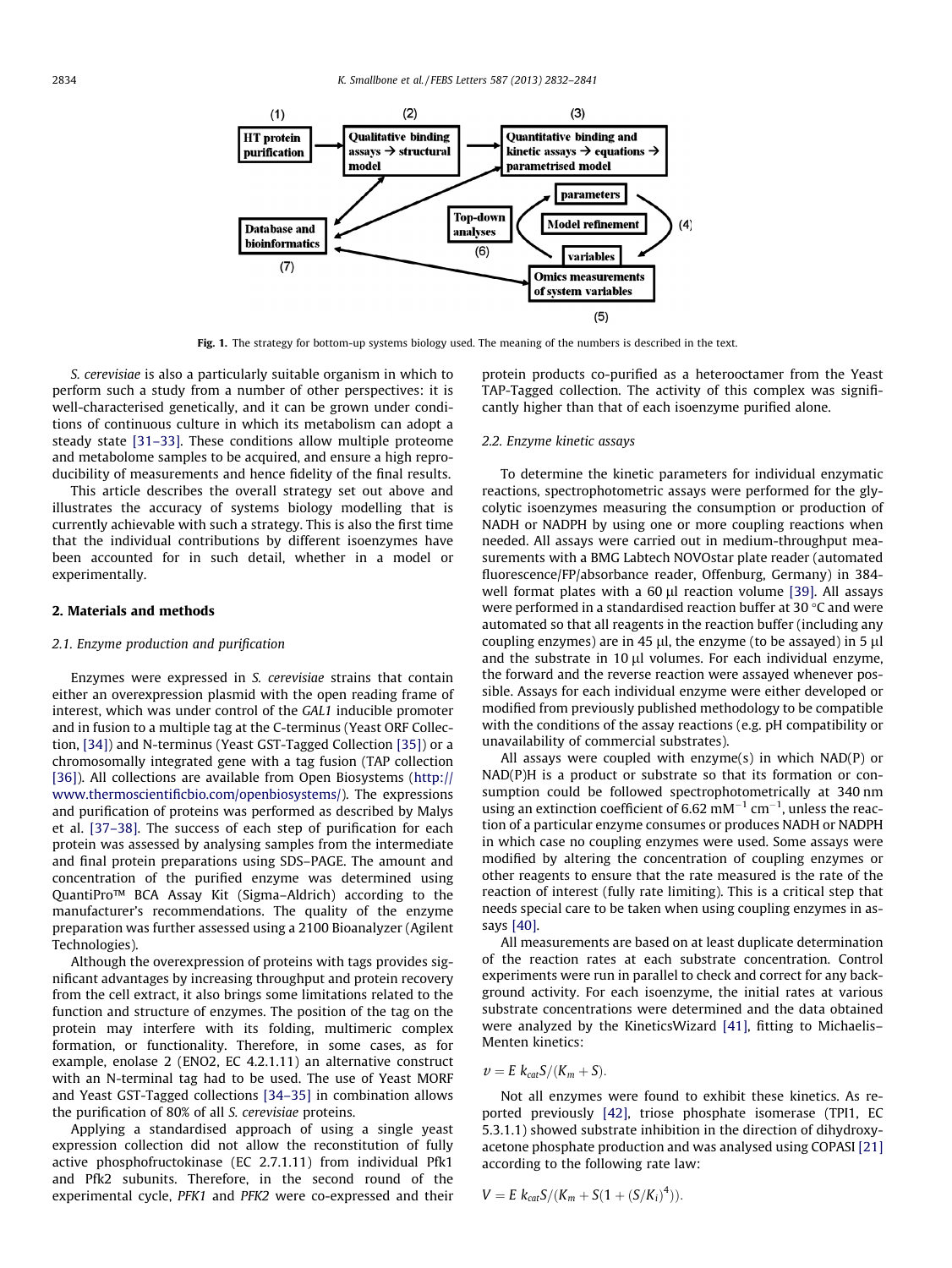<span id="page-2-0"></span>

Fig. 1. The strategy for bottom-up systems biology used. The meaning of the numbers is described in the text.

S. cerevisiae is also a particularly suitable organism in which to perform such a study from a number of other perspectives: it is well-characterised genetically, and it can be grown under conditions of continuous culture in which its metabolism can adopt a steady state [\[31–33\].](#page-8-0) These conditions allow multiple proteome and metabolome samples to be acquired, and ensure a high reproducibility of measurements and hence fidelity of the final results.

This article describes the overall strategy set out above and illustrates the accuracy of systems biology modelling that is currently achievable with such a strategy. This is also the first time that the individual contributions by different isoenzymes have been accounted for in such detail, whether in a model or experimentally.

## 2. Materials and methods

#### 2.1. Enzyme production and purification

Enzymes were expressed in S. cerevisiae strains that contain either an overexpression plasmid with the open reading frame of interest, which was under control of the GAL1 inducible promoter and in fusion to a multiple tag at the C-terminus (Yeast ORF Collection, [\[34\]\)](#page-8-0) and N-terminus (Yeast GST-Tagged Collection [\[35\]\)](#page-8-0) or a chromosomally integrated gene with a tag fusion (TAP collection [\[36\]](#page-8-0)). All collections are available from Open Biosystems [\(http://](http://www.thermoscientificbio.com/openbiosystems/) [www.thermoscientificbio.com/openbiosystems/\)](http://www.thermoscientificbio.com/openbiosystems/). The expressions and purification of proteins was performed as described by Malys et al. [\[37–38\]](#page-8-0). The success of each step of purification for each protein was assessed by analysing samples from the intermediate and final protein preparations using SDS–PAGE. The amount and concentration of the purified enzyme was determined using QuantiPro™ BCA Assay Kit (Sigma–Aldrich) according to the manufacturer's recommendations. The quality of the enzyme preparation was further assessed using a 2100 Bioanalyzer (Agilent Technologies).

Although the overexpression of proteins with tags provides significant advantages by increasing throughput and protein recovery from the cell extract, it also brings some limitations related to the function and structure of enzymes. The position of the tag on the protein may interfere with its folding, multimeric complex formation, or functionality. Therefore, in some cases, as for example, enolase 2 (ENO2, EC 4.2.1.11) an alternative construct with an N-terminal tag had to be used. The use of Yeast MORF and Yeast GST-Tagged collections [\[34–35\]](#page-8-0) in combination allows the purification of 80% of all S. cerevisiae proteins.

Applying a standardised approach of using a single yeast expression collection did not allow the reconstitution of fully active phosphofructokinase (EC 2.7.1.11) from individual Pfk1 and Pfk2 subunits. Therefore, in the second round of the experimental cycle, PFK1 and PFK2 were co-expressed and their protein products co-purified as a heterooctamer from the Yeast TAP-Tagged collection. The activity of this complex was significantly higher than that of each isoenzyme purified alone.

#### 2.2. Enzyme kinetic assays

To determine the kinetic parameters for individual enzymatic reactions, spectrophotometric assays were performed for the glycolytic isoenzymes measuring the consumption or production of NADH or NADPH by using one or more coupling reactions when needed. All assays were carried out in medium-throughput measurements with a BMG Labtech NOVOstar plate reader (automated fluorescence/FP/absorbance reader, Offenburg, Germany) in 384 well format plates with a  $60 \mu l$  reaction volume [\[39\]](#page-8-0). All assays were performed in a standardised reaction buffer at 30  $\degree$ C and were automated so that all reagents in the reaction buffer (including any coupling enzymes) are in 45  $\mu$ l, the enzyme (to be assayed) in 5  $\mu$ l and the substrate in  $10 \mu l$  volumes. For each individual enzyme, the forward and the reverse reaction were assayed whenever possible. Assays for each individual enzyme were either developed or modified from previously published methodology to be compatible with the conditions of the assay reactions (e.g. pH compatibility or unavailability of commercial substrates).

All assays were coupled with enzyme(s) in which NAD(P) or NAD(P)H is a product or substrate so that its formation or consumption could be followed spectrophotometrically at 340 nm using an extinction coefficient of 6.62 mM<sup> $-1$ </sup> cm<sup> $-1$ </sup>, unless the reaction of a particular enzyme consumes or produces NADH or NADPH in which case no coupling enzymes were used. Some assays were modified by altering the concentration of coupling enzymes or other reagents to ensure that the rate measured is the rate of the reaction of interest (fully rate limiting). This is a critical step that needs special care to be taken when using coupling enzymes in assays [\[40\].](#page-8-0)

All measurements are based on at least duplicate determination of the reaction rates at each substrate concentration. Control experiments were run in parallel to check and correct for any background activity. For each isoenzyme, the initial rates at various substrate concentrations were determined and the data obtained were analyzed by the KineticsWizard [\[41\],](#page-8-0) fitting to Michaelis– Menten kinetics:

 $v = E k_{cat}S/(K_m + S).$ 

Not all enzymes were found to exhibit these kinetics. As reported previously [\[42\],](#page-8-0) triose phosphate isomerase (TPI1, EC 5.3.1.1) showed substrate inhibition in the direction of dihydroxyacetone phosphate production and was analysed using COPASI [\[21\]](#page-7-0) according to the following rate law:

$$
V = E k_{cat} S / (K_m + S(1 + (S/K_i)^4)).
$$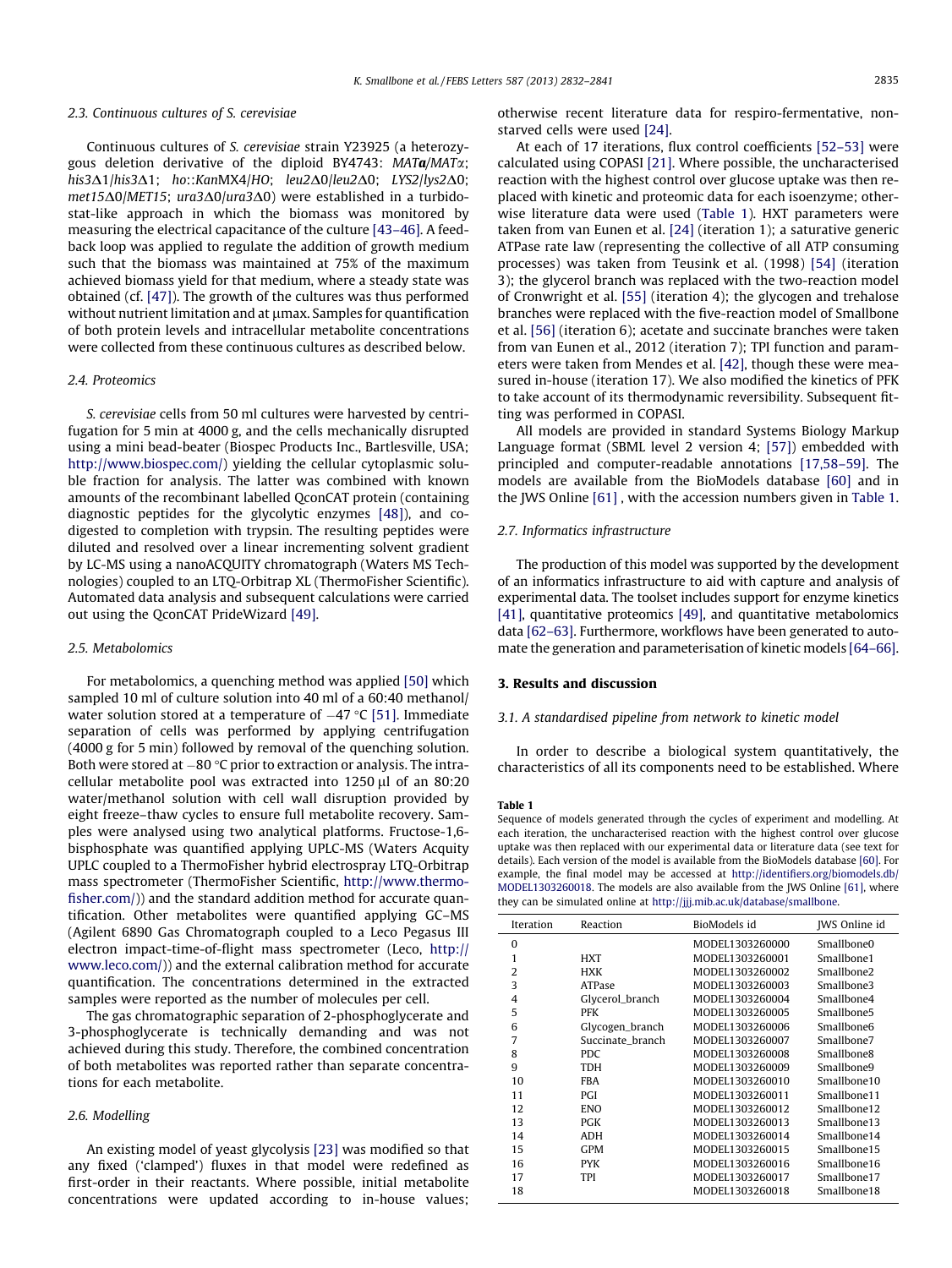#### <span id="page-3-0"></span>2.3. Continuous cultures of S. cerevisiae

Continuous cultures of S. cerevisiae strain Y23925 (a heterozygous deletion derivative of the diploid BY4743: MATa/MATa; his3 $\Delta$ 1/his3 $\Delta$ 1; ho::KanMX4/HO; leu2 $\Delta$ 0/leu2 $\Delta$ 0; LYS2/lys2 $\Delta$ 0; met15 $\Delta$ 0/MET15; ura3 $\Delta$ 0/ura3 $\Delta$ 0) were established in a turbidostat-like approach in which the biomass was monitored by measuring the electrical capacitance of the culture [\[43–46\].](#page-8-0) A feedback loop was applied to regulate the addition of growth medium such that the biomass was maintained at 75% of the maximum achieved biomass yield for that medium, where a steady state was obtained (cf. [\[47\]](#page-8-0)). The growth of the cultures was thus performed without nutrient limitation and at umax. Samples for quantification of both protein levels and intracellular metabolite concentrations were collected from these continuous cultures as described below.

## 2.4. Proteomics

S. cerevisiae cells from 50 ml cultures were harvested by centrifugation for 5 min at 4000 g, and the cells mechanically disrupted using a mini bead-beater (Biospec Products Inc., Bartlesville, USA; <http://www.biospec.com/>) yielding the cellular cytoplasmic soluble fraction for analysis. The latter was combined with known amounts of the recombinant labelled QconCAT protein (containing diagnostic peptides for the glycolytic enzymes [\[48\]](#page-8-0)), and codigested to completion with trypsin. The resulting peptides were diluted and resolved over a linear incrementing solvent gradient by LC-MS using a nanoACQUITY chromatograph (Waters MS Technologies) coupled to an LTQ-Orbitrap XL (ThermoFisher Scientific). Automated data analysis and subsequent calculations were carried out using the QconCAT PrideWizard [\[49\].](#page-8-0)

## 2.5. Metabolomics

For metabolomics, a quenching method was applied [\[50\]](#page-8-0) which sampled 10 ml of culture solution into 40 ml of a 60:40 methanol/ water solution stored at a temperature of  $-47$  °C [\[51\]](#page-8-0). Immediate separation of cells was performed by applying centrifugation (4000 g for 5 min) followed by removal of the quenching solution. Both were stored at  $-$ 80 °C prior to extraction or analysis. The intracellular metabolite pool was extracted into  $1250 \mu l$  of an  $80:20$ water/methanol solution with cell wall disruption provided by eight freeze–thaw cycles to ensure full metabolite recovery. Samples were analysed using two analytical platforms. Fructose-1,6 bisphosphate was quantified applying UPLC-MS (Waters Acquity UPLC coupled to a ThermoFisher hybrid electrospray LTQ-Orbitrap mass spectrometer (ThermoFisher Scientific, [http://www.thermo](http://www.thermofisher.com/)[fisher.com/\)](http://www.thermofisher.com/)) and the standard addition method for accurate quantification. Other metabolites were quantified applying GC–MS (Agilent 6890 Gas Chromatograph coupled to a Leco Pegasus III electron impact-time-of-flight mass spectrometer (Leco, [http://](http://www.leco.com/) [www.leco.com/\)](http://www.leco.com/)) and the external calibration method for accurate quantification. The concentrations determined in the extracted samples were reported as the number of molecules per cell.

The gas chromatographic separation of 2-phosphoglycerate and 3-phosphoglycerate is technically demanding and was not achieved during this study. Therefore, the combined concentration of both metabolites was reported rather than separate concentrations for each metabolite.

## 2.6. Modelling

An existing model of yeast glycolysis [\[23\]](#page-8-0) was modified so that any fixed ('clamped') fluxes in that model were redefined as first-order in their reactants. Where possible, initial metabolite concentrations were updated according to in-house values;

otherwise recent literature data for respiro-fermentative, nonstarved cells were used [\[24\].](#page-8-0)

At each of 17 iterations, flux control coefficients [\[52–53\]](#page-8-0) were calculated using COPASI [\[21\].](#page-7-0) Where possible, the uncharacterised reaction with the highest control over glucose uptake was then replaced with kinetic and proteomic data for each isoenzyme; otherwise literature data were used (Table 1). HXT parameters were taken from van Eunen et al. [\[24\]](#page-8-0) (iteration 1); a saturative generic ATPase rate law (representing the collective of all ATP consuming processes) was taken from Teusink et al. (1998) [\[54\]](#page-8-0) (iteration 3); the glycerol branch was replaced with the two-reaction model of Cronwright et al. [\[55\]](#page-8-0) (iteration 4); the glycogen and trehalose branches were replaced with the five-reaction model of Smallbone et al. [\[56\]](#page-8-0) (iteration 6); acetate and succinate branches were taken from van Eunen et al., 2012 (iteration 7); TPI function and parameters were taken from Mendes et al. [\[42\],](#page-8-0) though these were measured in-house (iteration 17). We also modified the kinetics of PFK to take account of its thermodynamic reversibility. Subsequent fitting was performed in COPASI.

All models are provided in standard Systems Biology Markup Language format (SBML level 2 version 4; [\[57\]](#page-8-0)) embedded with principled and computer-readable annotations [\[17,58–59\].](#page-7-0) The models are available from the BioModels database [\[60\]](#page-8-0) and in the JWS Online [\[61\]](#page-8-0) , with the accession numbers given in Table 1.

## 2.7. Informatics infrastructure

The production of this model was supported by the development of an informatics infrastructure to aid with capture and analysis of experimental data. The toolset includes support for enzyme kinetics [\[41\],](#page-8-0) quantitative proteomics [\[49\],](#page-8-0) and quantitative metabolomics data [\[62–63\].](#page-8-0) Furthermore, workflows have been generated to automate the generation and parameterisation of kinetic models [\[64–66\].](#page-8-0)

## 3. Results and discussion

#### 3.1. A standardised pipeline from network to kinetic model

In order to describe a biological system quantitatively, the characteristics of all its components need to be established. Where

#### Table 1

Sequence of models generated through the cycles of experiment and modelling. At each iteration, the uncharacterised reaction with the highest control over glucose uptake was then replaced with our experimental data or literature data (see text for details). Each version of the model is available from the BioModels database [\[60\].](#page-8-0) For example, the final model may be accessed at [http://identifiers.org/biomodels.db/](http://identifiers.org/biomodels.db/MODEL1303260018) [MODEL1303260018](http://identifiers.org/biomodels.db/MODEL1303260018). The models are also available from the JWS Online [\[61\]](#page-8-0), where they can be simulated online at [http://jjj.mib.ac.uk/database/smallbone](http://http://jjj.mib.ac.uk/database/smallbone).

| Iteration | Reaction         | BioModels id    | <b>IWS</b> Online id   |
|-----------|------------------|-----------------|------------------------|
| $\Omega$  |                  | MODEL1303260000 | Smallbone0             |
| 1         | <b>HXT</b>       | MODEL1303260001 | Smallbone1             |
| 2         | HXK              | MODEL1303260002 | Smallbone <sub>2</sub> |
| 3         | ATPase           | MODEL1303260003 | Smallbone3             |
| 4         | Glycerol_branch  | MODEL1303260004 | Smallbone4             |
| 5         | PFK              | MODEL1303260005 | Smallbone <sub>5</sub> |
| 6         | Glycogen_branch  | MODEL1303260006 | Smallbone <sub>6</sub> |
| 7         | Succinate branch | MODEL1303260007 | Smallbone7             |
| 8         | <b>PDC</b>       | MODEL1303260008 | Smallbone8             |
| 9         | TDH              | MODEL1303260009 | Smallbone9             |
| 10        | <b>FBA</b>       | MODEL1303260010 | Smallbone10            |
| 11        | PGI              | MODEL1303260011 | Smallbone11            |
| 12        | <b>ENO</b>       | MODEL1303260012 | Smallbone12            |
| 13        | PGK              | MODEL1303260013 | Smallbone13            |
| 14        | <b>ADH</b>       | MODEL1303260014 | Smallbone14            |
| 15        | GPM              | MODEL1303260015 | Smallbone15            |
| 16        | <b>PYK</b>       | MODEL1303260016 | Smallbone16            |
| 17        | TPI              | MODEL1303260017 | Smallbone17            |
| 18        |                  | MODEL1303260018 | Smallbone18            |
|           |                  |                 |                        |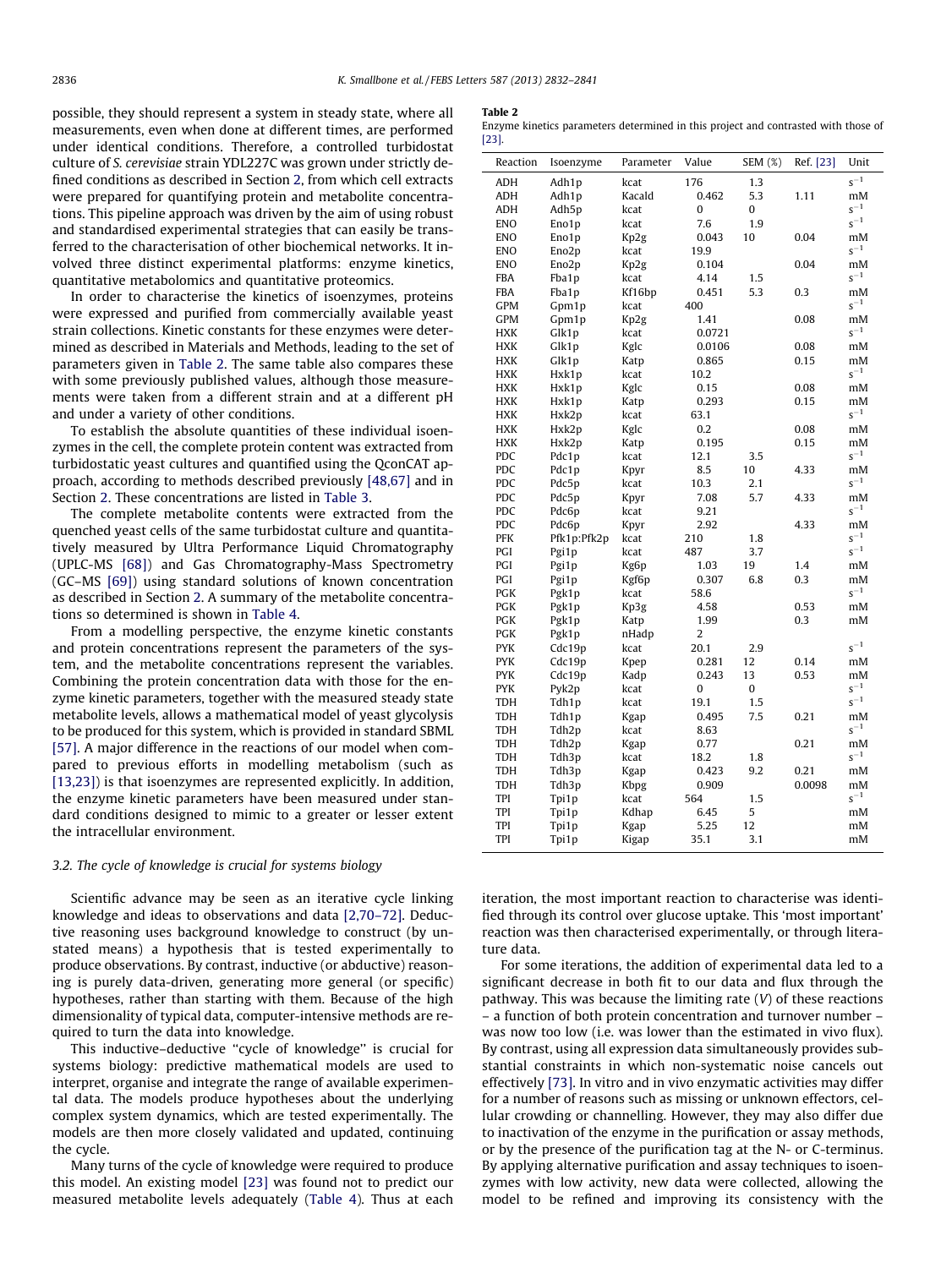<span id="page-4-0"></span>possible, they should represent a system in steady state, where all measurements, even when done at different times, are performed under identical conditions. Therefore, a controlled turbidostat culture of S. cerevisiae strain YDL227C was grown under strictly defined conditions as described in Section [2,](#page-2-0) from which cell extracts were prepared for quantifying protein and metabolite concentrations. This pipeline approach was driven by the aim of using robust and standardised experimental strategies that can easily be transferred to the characterisation of other biochemical networks. It involved three distinct experimental platforms: enzyme kinetics, quantitative metabolomics and quantitative proteomics.

In order to characterise the kinetics of isoenzymes, proteins were expressed and purified from commercially available yeast strain collections. Kinetic constants for these enzymes were determined as described in Materials and Methods, leading to the set of parameters given in Table 2. The same table also compares these with some previously published values, although those measurements were taken from a different strain and at a different pH and under a variety of other conditions.

To establish the absolute quantities of these individual isoenzymes in the cell, the complete protein content was extracted from turbidostatic yeast cultures and quantified using the QconCAT approach, according to methods described previously [\[48,67\]](#page-8-0) and in Section [2.](#page-2-0) These concentrations are listed in [Table 3.](#page-5-0)

The complete metabolite contents were extracted from the quenched yeast cells of the same turbidostat culture and quantitatively measured by Ultra Performance Liquid Chromatography (UPLC-MS [\[68\]\)](#page-8-0) and Gas Chromatography-Mass Spectrometry (GC–MS [\[69\]\)](#page-8-0) using standard solutions of known concentration as described in Section [2.](#page-2-0) A summary of the metabolite concentrations so determined is shown in [Table 4.](#page-5-0)

From a modelling perspective, the enzyme kinetic constants and protein concentrations represent the parameters of the system, and the metabolite concentrations represent the variables. Combining the protein concentration data with those for the enzyme kinetic parameters, together with the measured steady state metabolite levels, allows a mathematical model of yeast glycolysis to be produced for this system, which is provided in standard SBML [\[57\]](#page-8-0). A major difference in the reactions of our model when compared to previous efforts in modelling metabolism (such as [\[13,23\]\)](#page-7-0) is that isoenzymes are represented explicitly. In addition, the enzyme kinetic parameters have been measured under standard conditions designed to mimic to a greater or lesser extent the intracellular environment.

#### 3.2. The cycle of knowledge is crucial for systems biology

Scientific advance may be seen as an iterative cycle linking knowledge and ideas to observations and data [\[2,70–72\].](#page-7-0) Deductive reasoning uses background knowledge to construct (by unstated means) a hypothesis that is tested experimentally to produce observations. By contrast, inductive (or abductive) reasoning is purely data-driven, generating more general (or specific) hypotheses, rather than starting with them. Because of the high dimensionality of typical data, computer-intensive methods are required to turn the data into knowledge.

This inductive–deductive "cycle of knowledge" is crucial for systems biology: predictive mathematical models are used to interpret, organise and integrate the range of available experimental data. The models produce hypotheses about the underlying complex system dynamics, which are tested experimentally. The models are then more closely validated and updated, continuing the cycle.

Many turns of the cycle of knowledge were required to produce this model. An existing model [\[23\]](#page-8-0) was found not to predict our measured metabolite levels adequately ([Table 4](#page-5-0)). Thus at each

| $\sim$<br>. . |  |
|---------------|--|
|---------------|--|

Enzyme kinetics parameters determined in this project and contrasted with those of [\[23\].](#page-8-0)

| Reaction   | Isoenzyme         | Parameter | Value  | SEM (%)  | Ref. [23] | Unit         |
|------------|-------------------|-----------|--------|----------|-----------|--------------|
| <b>ADH</b> | Adh1p             | kcat      | 176    | 1.3      |           | $s^{-1}$     |
| ADH        | Adh1p             | Kacald    | 0.462  | 5.3      | 1.11      | mM           |
| <b>ADH</b> | Adh5p             | kcat      | 0      | 0        |           | $\rm s^{-1}$ |
| <b>ENO</b> | Eno1p             | kcat      | 7.6    | 1.9      |           | $s^{-1}$     |
| <b>ENO</b> | Eno1p             | Kp2g      | 0.043  | 10       | 0.04      | mM           |
| <b>ENO</b> | Eno <sub>2p</sub> | kcat      | 19.9   |          |           | $s^{-1}$     |
| <b>ENO</b> | Eno <sub>2p</sub> | Kp2g      | 0.104  |          | 0.04      | mM           |
| <b>FBA</b> | Fba1p             | kcat      | 4.14   | 1.5      |           | $s^{-1}$     |
| FBA        | Fba1p             | Kf16bp    | 0.451  | 5.3      | 0.3       | mM           |
| <b>GPM</b> | Gpm1p             | kcat      | 400    |          |           | $s^{-1}$     |
| <b>GPM</b> | Gpm1p             | Kp2g      | 1.41   |          | 0.08      | mM           |
| <b>HXK</b> | Glk1p             | kcat      | 0.0721 |          |           | $s^{-1}$     |
| <b>HXK</b> | Glk1p             | Kglc      | 0.0106 |          | 0.08      | mM           |
| <b>HXK</b> | Glk1p             | Katp      | 0.865  |          | 0.15      | mM           |
| <b>HXK</b> | Hxk1p             | kcat      | 10.2   |          |           | $s^{-1}$     |
| <b>HXK</b> | Hxk1p             | Kglc      | 0.15   |          | 0.08      | mM           |
| <b>HXK</b> | Hxk1p             | Katp      | 0.293  |          | 0.15      | mM           |
| <b>HXK</b> | Hxk2p             | kcat      | 63.1   |          |           | $s^{-1}$     |
| <b>HXK</b> | Hxk2p             | Kglc      | 0.2    |          | 0.08      | mM           |
| <b>HXK</b> | Hxk2p             | Katp      | 0.195  |          | 0.15      | mM           |
| <b>PDC</b> | Pdc1p             | kcat      | 12.1   | 3.5      |           | $s^{-1}$     |
| PDC        | Pdc1p             | Kpyr      | 8.5    | 10       | 4.33      | mM           |
| PDC        | Pdc5p             | kcat      | 10.3   | 2.1      |           | $s^{-1}$     |
| <b>PDC</b> | Pdc5p             | Kpyr      | 7.08   | 5.7      | 4.33      | mM           |
| PDC        | Pdc6p             | kcat      | 9.21   |          |           | $s^{-1}$     |
| <b>PDC</b> | Pdc6p             | Kpyr      | 2.92   |          | 4.33      | mM           |
| <b>PFK</b> | Pfk1p:Pfk2p       | kcat      | 210    | 1.8      |           | $s^{-1}$     |
| PGI        | Pgi1p             | kcat      | 487    | 3.7      |           | $s^{-1}$     |
| PGI        | Pgi1p             | Kg6p      | 1.03   | 19       | 1.4       | mM           |
| PGI        | Pgi1p             | Kgf6p     | 0.307  | 6.8      | 0.3       | mM           |
| PGK        | Pgk1p             | kcat      | 58.6   |          |           | $s^{-1}$     |
| <b>PGK</b> | Pgk1p             | Kp3g      | 4.58   |          | 0.53      | mM           |
| PGK        | Pgk1p             | Katp      | 1.99   |          | 0.3       | mM           |
| PGK        | Pgk1p             | nHadp     | 2      |          |           |              |
| <b>PYK</b> | Cdc19p            | kcat      | 20.1   | 2.9      |           | $s^{-1}$     |
| <b>PYK</b> | Cdc19p            | Kpep      | 0.281  | 12       | 0.14      | mM           |
| <b>PYK</b> | Cdc19p            | Kadp      | 0.243  | 13       | 0.53      | mM           |
| <b>PYK</b> | Pyk2p             | kcat      | 0      | $\bf{0}$ |           | $s^{-1}$     |
| <b>TDH</b> | Tdh1p             | kcat      | 19.1   | 1.5      |           | $\rm s^{-1}$ |
| <b>TDH</b> | Tdh1p             | Kgap      | 0.495  | 7.5      | 0.21      | mM           |
| <b>TDH</b> | Tdh <sub>2p</sub> | kcat      | 8.63   |          |           | $s^{-1}$     |
| <b>TDH</b> | Tdh2p             | Kgap      | 0.77   |          | 0.21      | mM           |
| <b>TDH</b> | Tdh3p             | kcat      | 18.2   | 1.8      |           | $s^{-1}$     |
| <b>TDH</b> | Tdh3p             | Kgap      | 0.423  | 9.2      | 0.21      | mM           |
| <b>TDH</b> | Tdh3p             | Kbpg      | 0.909  |          | 0.0098    | mM           |
| <b>TPI</b> | Tpi1p             | kcat      | 564    | 1.5      |           | $s^{-1}$     |
| <b>TPI</b> | Tpi1p             | Kdhap     | 6.45   | 5        |           | mM           |
| TPI        | Tpi1p             | Kgap      | 5.25   | 12       |           | mM           |
| TPI        | Tpi1p             | Kigap     | 35.1   | 3.1      |           | mM           |

iteration, the most important reaction to characterise was identified through its control over glucose uptake. This 'most important' reaction was then characterised experimentally, or through literature data.

For some iterations, the addition of experimental data led to a significant decrease in both fit to our data and flux through the pathway. This was because the limiting rate (V) of these reactions – a function of both protein concentration and turnover number – was now too low (i.e. was lower than the estimated in vivo flux). By contrast, using all expression data simultaneously provides substantial constraints in which non-systematic noise cancels out effectively [\[73\]](#page-8-0). In vitro and in vivo enzymatic activities may differ for a number of reasons such as missing or unknown effectors, cellular crowding or channelling. However, they may also differ due to inactivation of the enzyme in the purification or assay methods, or by the presence of the purification tag at the N- or C-terminus. By applying alternative purification and assay techniques to isoenzymes with low activity, new data were collected, allowing the model to be refined and improving its consistency with the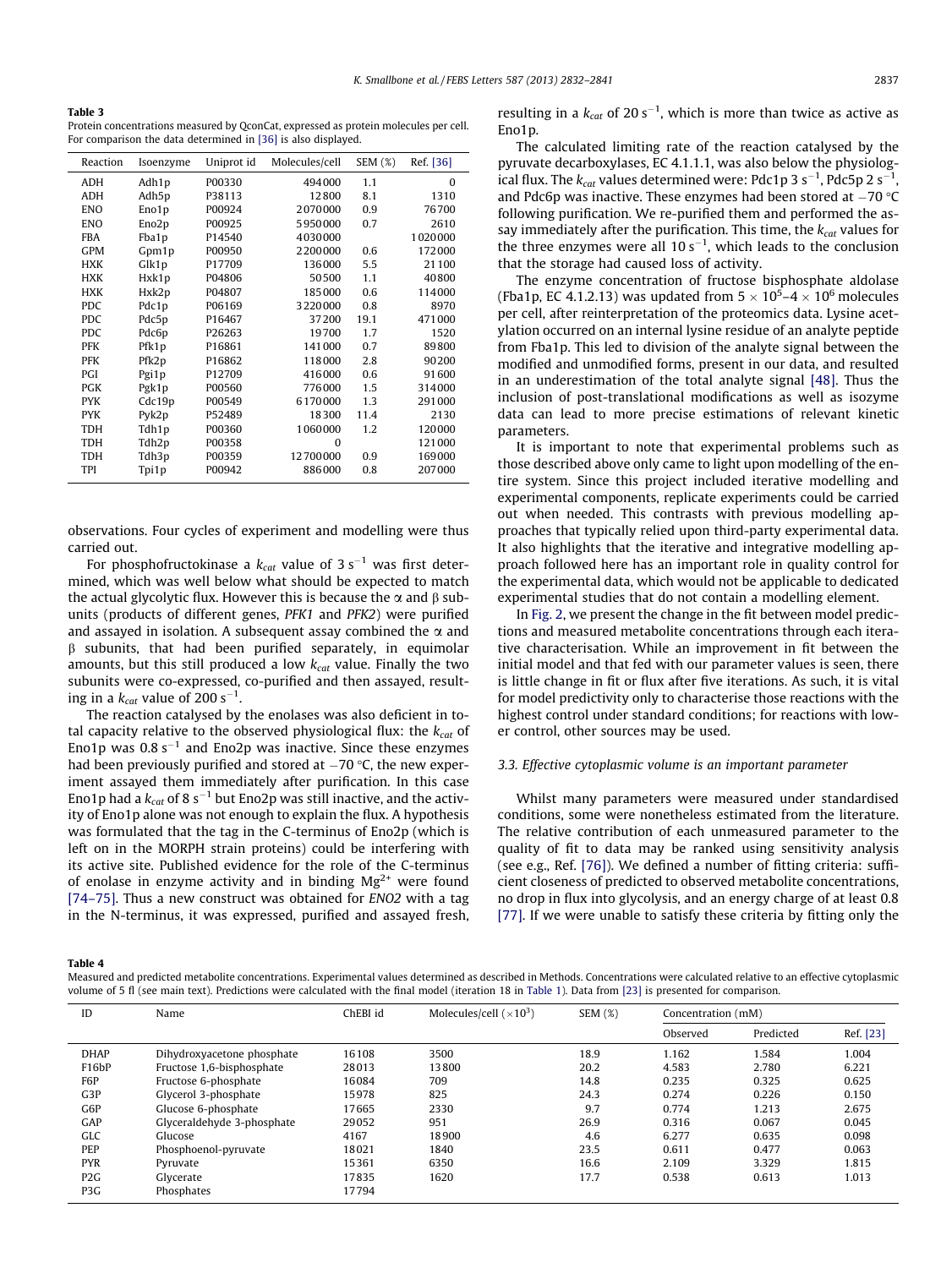#### <span id="page-5-0"></span>Table 3

Protein concentrations measured by QconCat, expressed as protein molecules per cell. For comparison the data determined in [\[36\]](#page-8-0) is also displayed.

| Reaction   | Isoenzyme         | Uniprot id | Molecules/cell | SEM (%) | Ref. [36] |
|------------|-------------------|------------|----------------|---------|-----------|
| <b>ADH</b> | Adh1p             | P00330     | 494000         | 1.1     | $\Omega$  |
| <b>ADH</b> | Adh5p             | P38113     | 12800          | 8.1     | 1310      |
| <b>ENO</b> | Eno1p             | P00924     | 2070000        | 0.9     | 76700     |
| <b>ENO</b> | Eno <sub>2p</sub> | P00925     | 5950000        | 0.7     | 2610      |
| <b>FBA</b> | Fba1p             | P14540     | 4030000        |         | 1020000   |
| <b>GPM</b> | Gpm1p             | P00950     | 2200000        | 0.6     | 172000    |
| <b>HXK</b> | Glk1p             | P17709     | 136000         | 5.5     | 21100     |
| <b>HXK</b> | Hxk1p             | P04806     | 50500          | 1.1     | 40800     |
| <b>HXK</b> | Hxk2p             | P04807     | 185000         | 0.6     | 114000    |
| <b>PDC</b> | Pdc1p             | P06169     | 3220000        | 0.8     | 8970      |
| <b>PDC</b> | Pdc5p             | P16467     | 37200          | 19.1    | 471000    |
| <b>PDC</b> | Pdc6p             | P26263     | 19700          | 1.7     | 1520      |
| <b>PFK</b> | Pfk1p             | P16861     | 141000         | 0.7     | 89800     |
| <b>PFK</b> | Pfk2p             | P16862     | 118000         | 2.8     | 90200     |
| PGI        | Pgi1p             | P12709     | 416000         | 0.6     | 91600     |
| <b>PGK</b> | Pgk1p             | P00560     | 776000         | 1.5     | 314000    |
| <b>PYK</b> | Cdc19p            | P00549     | 6170000        | 1.3     | 291000    |
| <b>PYK</b> | Pyk2p             | P52489     | 18300          | 11.4    | 2130      |
| <b>TDH</b> | Tdh1p             | P00360     | 1060000        | 1.2     | 120000    |
| <b>TDH</b> | Tdh <sub>2p</sub> | P00358     | $\Omega$       |         | 121000    |
| TDH        | Tdh3p             | P00359     | 12700000       | 0.9     | 169000    |
| <b>TPI</b> | Tpi1p             | P00942     | 886000         | 0.8     | 207000    |

observations. Four cycles of experiment and modelling were thus carried out.

For phosphofructokinase a  $k_{cat}$  value of 3 s<sup>-1</sup> was first determined, which was well below what should be expected to match the actual glycolytic flux. However this is because the  $\alpha$  and  $\beta$  subunits (products of different genes, PFK1 and PFK2) were purified and assayed in isolation. A subsequent assay combined the  $\alpha$  and  $\beta$  subunits, that had been purified separately, in equimolar amounts, but this still produced a low  $k_{cat}$  value. Finally the two subunits were co-expressed, co-purified and then assayed, resulting in a  $k_{cat}$  value of 200 s<sup>-1</sup>.

The reaction catalysed by the enolases was also deficient in total capacity relative to the observed physiological flux: the  $k_{cat}$  of Eno1p was 0.8 s<sup>-1</sup> and Eno2p was inactive. Since these enzymes had been previously purified and stored at  $-70$  °C, the new experiment assayed them immediately after purification. In this case Eno1p had a  $k_{cat}$  of 8 s $^{-1}$  but Eno2p was still inactive, and the activity of Eno1p alone was not enough to explain the flux. A hypothesis was formulated that the tag in the C-terminus of Eno2p (which is left on in the MORPH strain proteins) could be interfering with its active site. Published evidence for the role of the C-terminus of enolase in enzyme activity and in binding  $Mg^{2+}$  were found [\[74–75\]](#page-9-0). Thus a new construct was obtained for ENO2 with a tag in the N-terminus, it was expressed, purified and assayed fresh,

resulting in a  $k_{cat}$  of 20 s<sup>-1</sup>, which is more than twice as active as Eno1p.

The calculated limiting rate of the reaction catalysed by the pyruvate decarboxylases, EC 4.1.1.1, was also below the physiological flux. The  $k_{cat}$  values determined were: Pdc1p 3 s<sup>-1</sup>, Pdc5p 2 s<sup>-1</sup>, and Pdc6p was inactive. These enzymes had been stored at  $-70$  °C  $\,$ following purification. We re-purified them and performed the assay immediately after the purification. This time, the  $k_{cat}$  values for the three enzymes were all 10  $s^{-1}$ , which leads to the conclusion that the storage had caused loss of activity.

The enzyme concentration of fructose bisphosphate aldolase (Fba1p, EC 4.1.2.13) was updated from  $5 \times 10^5$ –4  $\times$  10<sup>6</sup> molecules per cell, after reinterpretation of the proteomics data. Lysine acetylation occurred on an internal lysine residue of an analyte peptide from Fba1p. This led to division of the analyte signal between the modified and unmodified forms, present in our data, and resulted in an underestimation of the total analyte signal [\[48\].](#page-8-0) Thus the inclusion of post-translational modifications as well as isozyme data can lead to more precise estimations of relevant kinetic parameters.

It is important to note that experimental problems such as those described above only came to light upon modelling of the entire system. Since this project included iterative modelling and experimental components, replicate experiments could be carried out when needed. This contrasts with previous modelling approaches that typically relied upon third-party experimental data. It also highlights that the iterative and integrative modelling approach followed here has an important role in quality control for the experimental data, which would not be applicable to dedicated experimental studies that do not contain a modelling element.

In [Fig.](#page-6-0) 2, we present the change in the fit between model predictions and measured metabolite concentrations through each iterative characterisation. While an improvement in fit between the initial model and that fed with our parameter values is seen, there is little change in fit or flux after five iterations. As such, it is vital for model predictivity only to characterise those reactions with the highest control under standard conditions; for reactions with lower control, other sources may be used.

#### 3.3. Effective cytoplasmic volume is an important parameter

Whilst many parameters were measured under standardised conditions, some were nonetheless estimated from the literature. The relative contribution of each unmeasured parameter to the quality of fit to data may be ranked using sensitivity analysis (see e.g., Ref. [\[76\]](#page-9-0)). We defined a number of fitting criteria: sufficient closeness of predicted to observed metabolite concentrations, no drop in flux into glycolysis, and an energy charge of at least 0.8 [\[77\]](#page-9-0). If we were unable to satisfy these criteria by fitting only the

Table 4

Measured and predicted metabolite concentrations. Experimental values determined as described in Methods. Concentrations were calculated relative to an effective cytoplasmic volume of 5 fl (see main text). Predictions were calculated with the final model (iteration 18 in [Table 1](#page-3-0)). Data from [\[23\]](#page-8-0) is presented for comparison.

| ID               | Name                       | ChEBI id | Molecules/cell $(\times 10^3)$ | SEM (%) | Concentration (mM) |           |           |
|------------------|----------------------------|----------|--------------------------------|---------|--------------------|-----------|-----------|
|                  |                            |          |                                |         | Observed           | Predicted | Ref. [23] |
| <b>DHAP</b>      | Dihydroxyacetone phosphate | 16108    | 3500                           | 18.9    | 1.162              | 1.584     | 1.004     |
| F16bP            | Fructose 1,6-bisphosphate  | 28013    | 13800                          | 20.2    | 4.583              | 2.780     | 6.221     |
| F6P              | Fructose 6-phosphate       | 16084    | 709                            | 14.8    | 0.235              | 0.325     | 0.625     |
| G3P              | Glycerol 3-phosphate       | 15978    | 825                            | 24.3    | 0.274              | 0.226     | 0.150     |
| G6P              | Glucose 6-phosphate        | 17665    | 2330                           | 9.7     | 0.774              | 1.213     | 2.675     |
| GAP              | Glyceraldehyde 3-phosphate | 29052    | 951                            | 26.9    | 0.316              | 0.067     | 0.045     |
| GLC              | Glucose                    | 4167     | 18900                          | 4.6     | 6.277              | 0.635     | 0.098     |
| PEP              | Phosphoenol-pyruvate       | 18021    | 1840                           | 23.5    | 0.611              | 0.477     | 0.063     |
| <b>PYR</b>       | Pyruvate                   | 15361    | 6350                           | 16.6    | 2.109              | 3.329     | 1.815     |
| P <sub>2</sub> G | Glycerate                  | 17835    | 1620                           | 17.7    | 0.538              | 0.613     | 1.013     |
| P3G              | Phosphates                 | 17794    |                                |         |                    |           |           |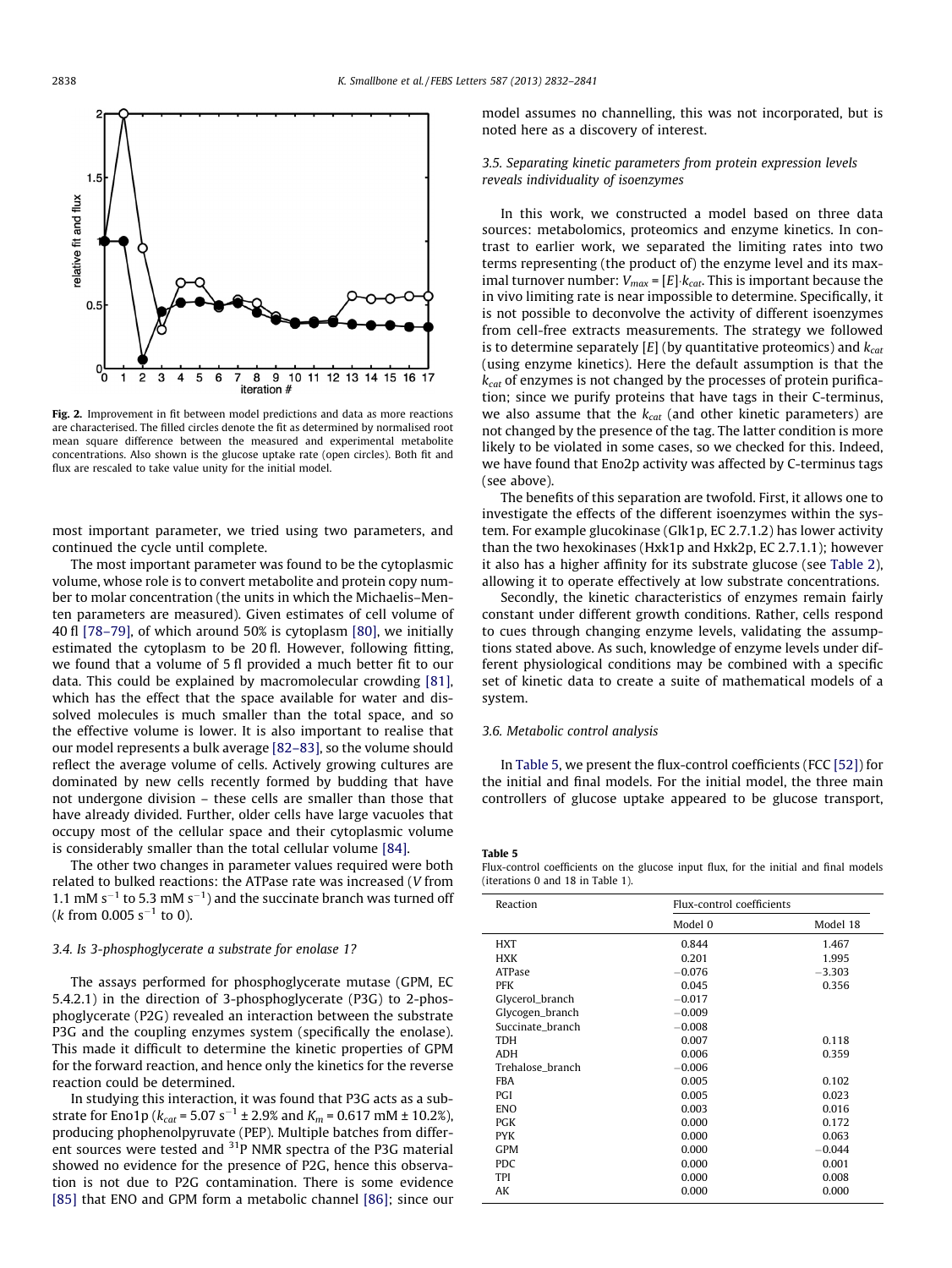<span id="page-6-0"></span>

Fig. 2. Improvement in fit between model predictions and data as more reactions are characterised. The filled circles denote the fit as determined by normalised root mean square difference between the measured and experimental metabolite concentrations. Also shown is the glucose uptake rate (open circles). Both fit and flux are rescaled to take value unity for the initial model.

most important parameter, we tried using two parameters, and continued the cycle until complete.

The most important parameter was found to be the cytoplasmic volume, whose role is to convert metabolite and protein copy number to molar concentration (the units in which the Michaelis–Menten parameters are measured). Given estimates of cell volume of 40 fl [\[78–79\],](#page-9-0) of which around 50% is cytoplasm [\[80\],](#page-9-0) we initially estimated the cytoplasm to be 20 fl. However, following fitting, we found that a volume of 5 fl provided a much better fit to our data. This could be explained by macromolecular crowding [\[81\],](#page-9-0) which has the effect that the space available for water and dissolved molecules is much smaller than the total space, and so the effective volume is lower. It is also important to realise that our model represents a bulk average [\[82–83\]](#page-9-0), so the volume should reflect the average volume of cells. Actively growing cultures are dominated by new cells recently formed by budding that have not undergone division – these cells are smaller than those that have already divided. Further, older cells have large vacuoles that occupy most of the cellular space and their cytoplasmic volume is considerably smaller than the total cellular volume [\[84\].](#page-9-0)

The other two changes in parameter values required were both related to bulked reactions: the ATPase rate was increased (V from 1.1 mM  $s^{-1}$  to 5.3 mM  $s^{-1}$ ) and the succinate branch was turned off (k from 0.005 s $^{-1}$  to 0).

#### 3.4. Is 3-phosphoglycerate a substrate for enolase 1?

The assays performed for phosphoglycerate mutase (GPM, EC 5.4.2.1) in the direction of 3-phosphoglycerate (P3G) to 2-phosphoglycerate (P2G) revealed an interaction between the substrate P3G and the coupling enzymes system (specifically the enolase). This made it difficult to determine the kinetic properties of GPM for the forward reaction, and hence only the kinetics for the reverse reaction could be determined.

In studying this interaction, it was found that P3G acts as a substrate for Eno1p ( $k_{cat}$  = 5.07 s $^{-1}$  ± 2.9% and K<sub>m</sub> = 0.617 mM ± 10.2%), producing phophenolpyruvate (PEP). Multiple batches from different sources were tested and 31P NMR spectra of the P3G material showed no evidence for the presence of P2G, hence this observation is not due to P2G contamination. There is some evidence [\[85\]](#page-9-0) that ENO and GPM form a metabolic channel [\[86\]](#page-9-0); since our model assumes no channelling, this was not incorporated, but is noted here as a discovery of interest.

## 3.5. Separating kinetic parameters from protein expression levels reveals individuality of isoenzymes

In this work, we constructed a model based on three data sources: metabolomics, proteomics and enzyme kinetics. In contrast to earlier work, we separated the limiting rates into two terms representing (the product of) the enzyme level and its maximal turnover number:  $V_{max} = [E] \cdot k_{cat}$ . This is important because the in vivo limiting rate is near impossible to determine. Specifically, it is not possible to deconvolve the activity of different isoenzymes from cell-free extracts measurements. The strategy we followed is to determine separately  $[E]$  (by quantitative proteomics) and  $k_{cat}$ (using enzyme kinetics). Here the default assumption is that the  $k_{cat}$  of enzymes is not changed by the processes of protein purification; since we purify proteins that have tags in their C-terminus, we also assume that the  $k_{cat}$  (and other kinetic parameters) are not changed by the presence of the tag. The latter condition is more likely to be violated in some cases, so we checked for this. Indeed, we have found that Eno2p activity was affected by C-terminus tags (see above).

The benefits of this separation are twofold. First, it allows one to investigate the effects of the different isoenzymes within the system. For example glucokinase (Glk1p, EC 2.7.1.2) has lower activity than the two hexokinases (Hxk1p and Hxk2p, EC 2.7.1.1); however it also has a higher affinity for its substrate glucose (see [Table 2\)](#page-4-0), allowing it to operate effectively at low substrate concentrations.

Secondly, the kinetic characteristics of enzymes remain fairly constant under different growth conditions. Rather, cells respond to cues through changing enzyme levels, validating the assumptions stated above. As such, knowledge of enzyme levels under different physiological conditions may be combined with a specific set of kinetic data to create a suite of mathematical models of a system.

#### 3.6. Metabolic control analysis

In Table 5, we present the flux-control coefficients (FCC [\[52\]](#page-8-0)) for the initial and final models. For the initial model, the three main controllers of glucose uptake appeared to be glucose transport,

#### Table 5

Flux-control coefficients on the glucose input flux, for the initial and final models (iterations 0 and 18 in Table 1).

| Reaction         | Flux-control coefficients |          |  |
|------------------|---------------------------|----------|--|
|                  | Model 0                   | Model 18 |  |
| HXT              | 0.844                     | 1.467    |  |
| HXK              | 0.201                     | 1.995    |  |
| ATPase           | $-0.076$                  | $-3.303$ |  |
| <b>PFK</b>       | 0.045                     | 0.356    |  |
| Glycerol_branch  | $-0.017$                  |          |  |
| Glycogen_branch  | $-0.009$                  |          |  |
| Succinate_branch | $-0.008$                  |          |  |
| TDH              | 0.007                     | 0.118    |  |
| <b>ADH</b>       | 0.006                     | 0.359    |  |
| Trehalose_branch | $-0.006$                  |          |  |
| <b>FBA</b>       | 0.005                     | 0.102    |  |
| PGI              | 0.005                     | 0.023    |  |
| <b>ENO</b>       | 0.003                     | 0.016    |  |
| <b>PGK</b>       | 0.000                     | 0.172    |  |
| <b>PYK</b>       | 0.000                     | 0.063    |  |
| <b>GPM</b>       | 0.000                     | $-0.044$ |  |
| <b>PDC</b>       | 0.000                     | 0.001    |  |
| <b>TPI</b>       | 0.000                     | 0.008    |  |
| AK               | 0.000                     | 0.000    |  |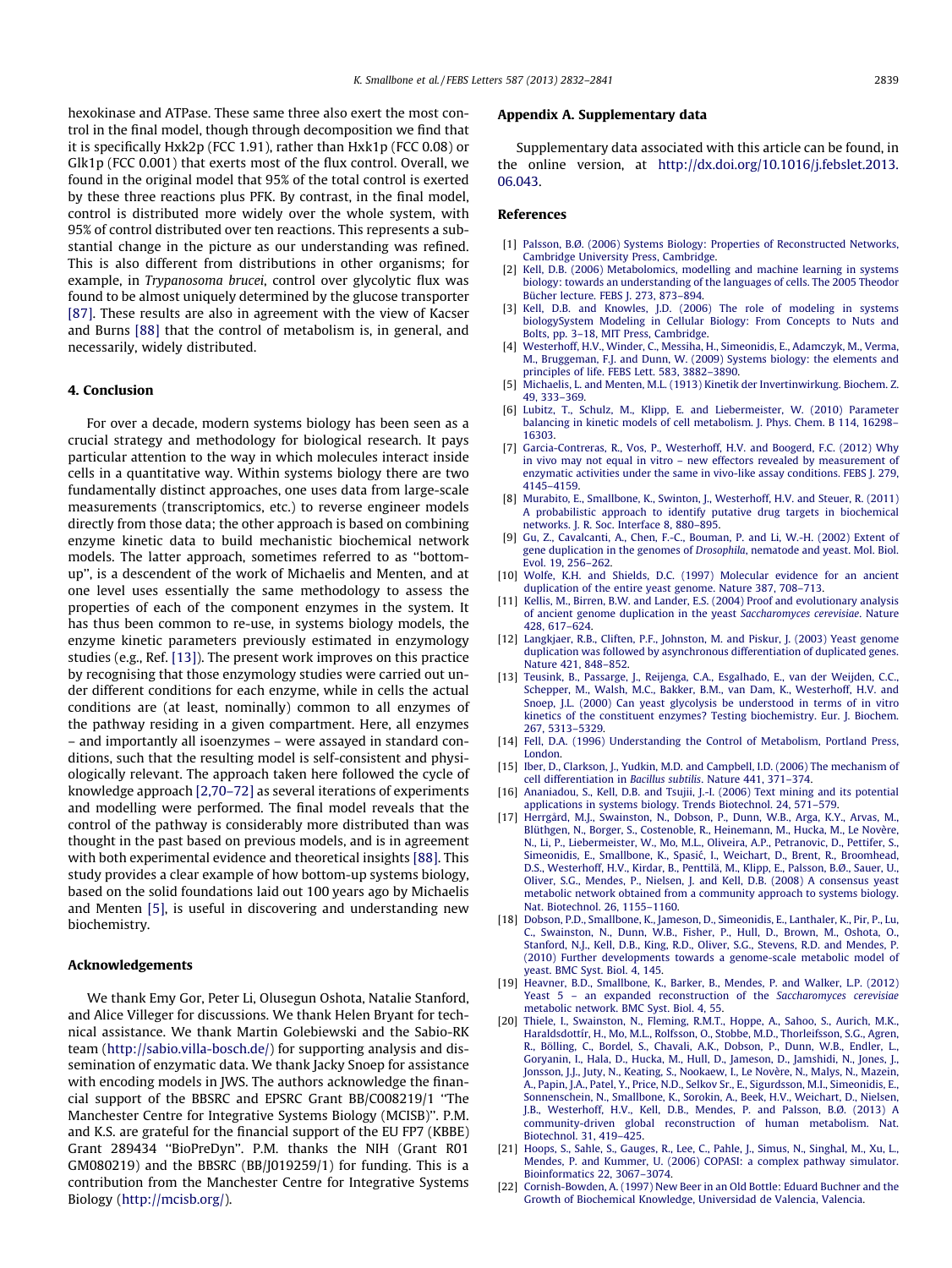<span id="page-7-0"></span>hexokinase and ATPase. These same three also exert the most control in the final model, though through decomposition we find that it is specifically Hxk2p (FCC 1.91), rather than Hxk1p (FCC 0.08) or Glk1p (FCC 0.001) that exerts most of the flux control. Overall, we found in the original model that 95% of the total control is exerted by these three reactions plus PFK. By contrast, in the final model, control is distributed more widely over the whole system, with 95% of control distributed over ten reactions. This represents a substantial change in the picture as our understanding was refined. This is also different from distributions in other organisms; for example, in Trypanosoma brucei, control over glycolytic flux was found to be almost uniquely determined by the glucose transporter [\[87\].](#page-9-0) These results are also in agreement with the view of Kacser and Burns [\[88\]](#page-9-0) that the control of metabolism is, in general, and necessarily, widely distributed.

#### 4. Conclusion

For over a decade, modern systems biology has been seen as a crucial strategy and methodology for biological research. It pays particular attention to the way in which molecules interact inside cells in a quantitative way. Within systems biology there are two fundamentally distinct approaches, one uses data from large-scale measurements (transcriptomics, etc.) to reverse engineer models directly from those data; the other approach is based on combining enzyme kinetic data to build mechanistic biochemical network models. The latter approach, sometimes referred to as ''bottomup'', is a descendent of the work of Michaelis and Menten, and at one level uses essentially the same methodology to assess the properties of each of the component enzymes in the system. It has thus been common to re-use, in systems biology models, the enzyme kinetic parameters previously estimated in enzymology studies (e.g., Ref. [13]). The present work improves on this practice by recognising that those enzymology studies were carried out under different conditions for each enzyme, while in cells the actual conditions are (at least, nominally) common to all enzymes of the pathway residing in a given compartment. Here, all enzymes – and importantly all isoenzymes – were assayed in standard conditions, such that the resulting model is self-consistent and physiologically relevant. The approach taken here followed the cycle of knowledge approach [2,70–72] as several iterations of experiments and modelling were performed. The final model reveals that the control of the pathway is considerably more distributed than was thought in the past based on previous models, and is in agreement with both experimental evidence and theoretical insights [\[88\]](#page-9-0). This study provides a clear example of how bottom-up systems biology, based on the solid foundations laid out 100 years ago by Michaelis and Menten [5], is useful in discovering and understanding new biochemistry.

#### Acknowledgements

We thank Emy Gor, Peter Li, Olusegun Oshota, Natalie Stanford, and Alice Villeger for discussions. We thank Helen Bryant for technical assistance. We thank Martin Golebiewski and the Sabio-RK team [\(http://sabio.villa-bosch.de/\)](http://sabio.villa-bosch.de/) for supporting analysis and dissemination of enzymatic data. We thank Jacky Snoep for assistance with encoding models in JWS. The authors acknowledge the financial support of the BBSRC and EPSRC Grant BB/C008219/1 ''The Manchester Centre for Integrative Systems Biology (MCISB)''. P.M. and K.S. are grateful for the financial support of the EU FP7 (KBBE) Grant 289434 ''BioPreDyn''. P.M. thanks the NIH (Grant R01 GM080219) and the BBSRC (BB/J019259/1) for funding. This is a contribution from the Manchester Centre for Integrative Systems Biology [\(http://mcisb.org/](http://mcisb.org/)).

# Appendix A. Supplementary data

Supplementary data associated with this article can be found, in the online version, at [http://dx.doi.org/10.1016/j.febslet.2013.](http://dx.doi.org/10.1016/j.febslet.2013.06.043) [06.043](http://dx.doi.org/10.1016/j.febslet.2013.06.043).

#### References

- [1] [Palsson, B.Ø. \(2006\) Systems Biology: Properties of Reconstructed Networks,](http://refhub.elsevier.com/S0014-5793(13)00501-2/h0005) [Cambridge University Press, Cambridge](http://refhub.elsevier.com/S0014-5793(13)00501-2/h0005).
- [Kell, D.B. \(2006\) Metabolomics, modelling and machine learning in systems](http://refhub.elsevier.com/S0014-5793(13)00501-2/h0010) [biology: towards an understanding of the languages of cells. The 2005 Theodor](http://refhub.elsevier.com/S0014-5793(13)00501-2/h0010) [Bücher lecture. FEBS J. 273, 873–894](http://refhub.elsevier.com/S0014-5793(13)00501-2/h0010).
- [3] [Kell, D.B. and Knowles, J.D. \(2006\) The role of modeling in systems](http://refhub.elsevier.com/S0014-5793(13)00501-2/h0015) [biologySystem Modeling in Cellular Biology: From Concepts to Nuts and](http://refhub.elsevier.com/S0014-5793(13)00501-2/h0015) [Bolts, pp. 3–18, MIT Press, Cambridge](http://refhub.elsevier.com/S0014-5793(13)00501-2/h0015).
- [4] [Westerhoff, H.V., Winder, C., Messiha, H., Simeonidis, E., Adamczyk, M., Verma,](http://refhub.elsevier.com/S0014-5793(13)00501-2/h0020) [M., Bruggeman, F.J. and Dunn, W. \(2009\) Systems biology: the elements and](http://refhub.elsevier.com/S0014-5793(13)00501-2/h0020) [principles of life. FEBS Lett. 583, 3882–3890.](http://refhub.elsevier.com/S0014-5793(13)00501-2/h0020)
- [5] [Michaelis, L. and Menten, M.L. \(1913\) Kinetik der Invertinwirkung. Biochem. Z.](http://refhub.elsevier.com/S0014-5793(13)00501-2/h0025) [49, 333–369](http://refhub.elsevier.com/S0014-5793(13)00501-2/h0025).
- [6] [Lubitz, T., Schulz, M., Klipp, E. and Liebermeister, W. \(2010\) Parameter](http://refhub.elsevier.com/S0014-5793(13)00501-2/h0030) [balancing in kinetic models of cell metabolism. J. Phys. Chem. B 114, 16298–](http://refhub.elsevier.com/S0014-5793(13)00501-2/h0030) [16303](http://refhub.elsevier.com/S0014-5793(13)00501-2/h0030).
- [7] [Garcia-Contreras, R., Vos, P., Westerhoff, H.V. and Boogerd, F.C. \(2012\) Why](http://refhub.elsevier.com/S0014-5793(13)00501-2/h0035) [in vivo may not equal in vitro – new effectors revealed by measurement of](http://refhub.elsevier.com/S0014-5793(13)00501-2/h0035) [enzymatic activities under the same in vivo-like assay conditions. FEBS J. 279,](http://refhub.elsevier.com/S0014-5793(13)00501-2/h0035) [4145–4159.](http://refhub.elsevier.com/S0014-5793(13)00501-2/h0035)
- [8] [Murabito, E., Smallbone, K., Swinton, J., Westerhoff, H.V. and Steuer, R. \(2011\)](http://refhub.elsevier.com/S0014-5793(13)00501-2/h0040) [A probabilistic approach to identify putative drug targets in biochemical](http://refhub.elsevier.com/S0014-5793(13)00501-2/h0040) [networks. J. R. Soc. Interface 8, 880–895.](http://refhub.elsevier.com/S0014-5793(13)00501-2/h0040)
- [9] [Gu, Z., Cavalcanti, A., Chen, F.-C., Bouman, P. and Li, W.-H. \(2002\) Extent of](http://refhub.elsevier.com/S0014-5793(13)00501-2/h0045) [gene duplication in the genomes of](http://refhub.elsevier.com/S0014-5793(13)00501-2/h0045) Drosophila, nematode and yeast. Mol. Biol. [Evol. 19, 256–262.](http://refhub.elsevier.com/S0014-5793(13)00501-2/h0045)
- [10] [Wolfe, K.H. and Shields, D.C. \(1997\) Molecular evidence for an ancient](http://refhub.elsevier.com/S0014-5793(13)00501-2/h0050) [duplication of the entire yeast genome. Nature 387, 708–713.](http://refhub.elsevier.com/S0014-5793(13)00501-2/h0050)
- [11] [Kellis, M., Birren, B.W. and Lander, E.S. \(2004\) Proof and evolutionary analysis](http://refhub.elsevier.com/S0014-5793(13)00501-2/h0055) [of ancient genome duplication in the yeast](http://refhub.elsevier.com/S0014-5793(13)00501-2/h0055) Saccharomyces cerevisiae. Nature [428, 617–624.](http://refhub.elsevier.com/S0014-5793(13)00501-2/h0055)
- [12] [Langkjaer, R.B., Cliften, P.F., Johnston, M. and Piskur, J. \(2003\) Yeast genome](http://refhub.elsevier.com/S0014-5793(13)00501-2/h0060) [duplication was followed by asynchronous differentiation of duplicated genes.](http://refhub.elsevier.com/S0014-5793(13)00501-2/h0060) [Nature 421, 848–852.](http://refhub.elsevier.com/S0014-5793(13)00501-2/h0060)
- [13] [Teusink, B., Passarge, J., Reijenga, C.A., Esgalhado, E., van der Weijden, C.C.,](http://refhub.elsevier.com/S0014-5793(13)00501-2/h0065) [Schepper, M., Walsh, M.C., Bakker, B.M., van Dam, K., Westerhoff, H.V. and](http://refhub.elsevier.com/S0014-5793(13)00501-2/h0065) [Snoep, J.L. \(2000\) Can yeast glycolysis be understood in terms of in vitro](http://refhub.elsevier.com/S0014-5793(13)00501-2/h0065) [kinetics of the constituent enzymes? Testing biochemistry. Eur. J. Biochem.](http://refhub.elsevier.com/S0014-5793(13)00501-2/h0065) [267, 5313–5329](http://refhub.elsevier.com/S0014-5793(13)00501-2/h0065).
- [14] [Fell, D.A. \(1996\) Understanding the Control of Metabolism, Portland Press,](http://refhub.elsevier.com/S0014-5793(13)00501-2/h0070) [London](http://refhub.elsevier.com/S0014-5793(13)00501-2/h0070).
- [15] [Iber, D., Clarkson, J., Yudkin, M.D. and Campbell, I.D. \(2006\) The mechanism of](http://refhub.elsevier.com/S0014-5793(13)00501-2/h0075) cell differentiation in Bacillus subtilis[. Nature 441, 371–374](http://refhub.elsevier.com/S0014-5793(13)00501-2/h0075).
- [16] Ananiadou, [S., Kell, D.B. and Tsujii, J.-I. \(2006\) Text mining and its potential](http://refhub.elsevier.com/S0014-5793(13)00501-2/h0080) [applications in systems biology. Trends Biotechnol. 24, 571–579.](http://refhub.elsevier.com/S0014-5793(13)00501-2/h0080)
- [17] [Herrgård, M.J., Swainston, N., Dobson, P., Dunn, W.B., Arga, K.Y., Arvas, M.,](http://refhub.elsevier.com/S0014-5793(13)00501-2/h0085) [Blüthgen, N., Borger, S., Costenoble, R., Heinemann, M., Hucka, M., Le Novère,](http://refhub.elsevier.com/S0014-5793(13)00501-2/h0085) [N., Li, P., Liebermeister, W., Mo, M.L., Oliveira, A.P., Petranovic, D., Pettifer, S.,](http://refhub.elsevier.com/S0014-5793(13)00501-2/h0085) Simeonidis, E., Smallbone, K., Spasić, I., Weichart, D., Brent, R., Broomhead, [D.S., Westerhoff, H.V., Kirdar, B., Penttilä, M., Klipp, E., Palsson, B.Ø., Sauer, U.,](http://refhub.elsevier.com/S0014-5793(13)00501-2/h0085) [Oliver, S.G., Mendes, P., Nielsen, J. and Kell, D.B. \(2008\) A consensus yeast](http://refhub.elsevier.com/S0014-5793(13)00501-2/h0085) [metabolic network obtained from a community approach to systems biology.](http://refhub.elsevier.com/S0014-5793(13)00501-2/h0085) [Nat. Biotechnol. 26, 1155–1160.](http://refhub.elsevier.com/S0014-5793(13)00501-2/h0085)
- [18] [Dobson, P.D., Smallbone, K., Jameson, D., Simeonidis, E., Lanthaler, K., Pir, P., Lu,](http://refhub.elsevier.com/S0014-5793(13)00501-2/h0090) [C., Swainston, N., Dunn, W.B., Fisher, P., Hull, D., Brown, M., Oshota, O.,](http://refhub.elsevier.com/S0014-5793(13)00501-2/h0090) [Stanford, N.J., Kell, D.B., King, R.D., Oliver, S.G., Stevens, R.D. and Mendes, P.](http://refhub.elsevier.com/S0014-5793(13)00501-2/h0090) [\(2010\) Further developments towards a genome-scale metabolic model of](http://refhub.elsevier.com/S0014-5793(13)00501-2/h0090) [yeast. BMC Syst. Biol. 4, 145.](http://refhub.elsevier.com/S0014-5793(13)00501-2/h0090)
- [19] [Heavner, B.D., Smallbone, K., Barker, B., Mendes, P. and Walker, L.P. \(2012\)](http://refhub.elsevier.com/S0014-5793(13)00501-2/h0095) [Yeast 5 – an expanded reconstruction of the](http://refhub.elsevier.com/S0014-5793(13)00501-2/h0095) Saccharomyces cerevisiae [metabolic network. BMC Syst. Biol. 4, 55.](http://refhub.elsevier.com/S0014-5793(13)00501-2/h0095)
- [20] Thiele, [I., Swainston, N., Fleming, R.M.T., Hoppe, A., Sahoo, S., Aurich, M.K.,](http://refhub.elsevier.com/S0014-5793(13)00501-2/h0100) [Haraldsdottír, H., Mo, M.L., Rolfsson, O., Stobbe, M.D., Thorleifsson, S.G., Agren,](http://refhub.elsevier.com/S0014-5793(13)00501-2/h0100) [R., Bölling, C., Bordel, S., Chavali, A.K., Dobson, P., Dunn, W.B., Endler, L.,](http://refhub.elsevier.com/S0014-5793(13)00501-2/h0100) [Goryanin, I., Hala, D., Hucka, M., Hull, D., Jameson, D., Jamshidi, N., Jones, J.,](http://refhub.elsevier.com/S0014-5793(13)00501-2/h0100) [Jonsson, J.J., Juty, N., Keating, S., Nookaew, I., Le Novère, N., Malys, N., Mazein,](http://refhub.elsevier.com/S0014-5793(13)00501-2/h0100) [A., Papin, J.A., Patel, Y., Price, N.D., Selkov Sr., E., Sigurdsson, M.I., Simeonidis, E.,](http://refhub.elsevier.com/S0014-5793(13)00501-2/h0100) [Sonnenschein, N., Smallbone, K., Sorokin, A., Beek, H.V., Weichart, D., Nielsen,](http://refhub.elsevier.com/S0014-5793(13)00501-2/h0100) [J.B., Westerhoff, H.V., Kell, D.B., Mendes, P. and Palsson, B.Ø. \(2013\) A](http://refhub.elsevier.com/S0014-5793(13)00501-2/h0100) [community-driven global reconstruction of human metabolism. Nat.](http://refhub.elsevier.com/S0014-5793(13)00501-2/h0100) [Biotechnol. 31, 419–425.](http://refhub.elsevier.com/S0014-5793(13)00501-2/h0100)
- [21] [Hoops, S., Sahle, S., Gauges, R., Lee, C., Pahle, J., Simus, N., Singhal, M., Xu, L.,](http://refhub.elsevier.com/S0014-5793(13)00501-2/h0105) [Mendes, P. and Kummer, U. \(2006\) COPASI: a complex pathway simulator.](http://refhub.elsevier.com/S0014-5793(13)00501-2/h0105) [Bioinformatics 22, 3067–3074.](http://refhub.elsevier.com/S0014-5793(13)00501-2/h0105)
- [22] [Cornish-Bowden, A. \(1997\) New Beer in an Old Bottle: Eduard Buchner and the](http://refhub.elsevier.com/S0014-5793(13)00501-2/h0110) [Growth of Biochemical Knowledge, Universidad de Valencia, Valencia.](http://refhub.elsevier.com/S0014-5793(13)00501-2/h0110)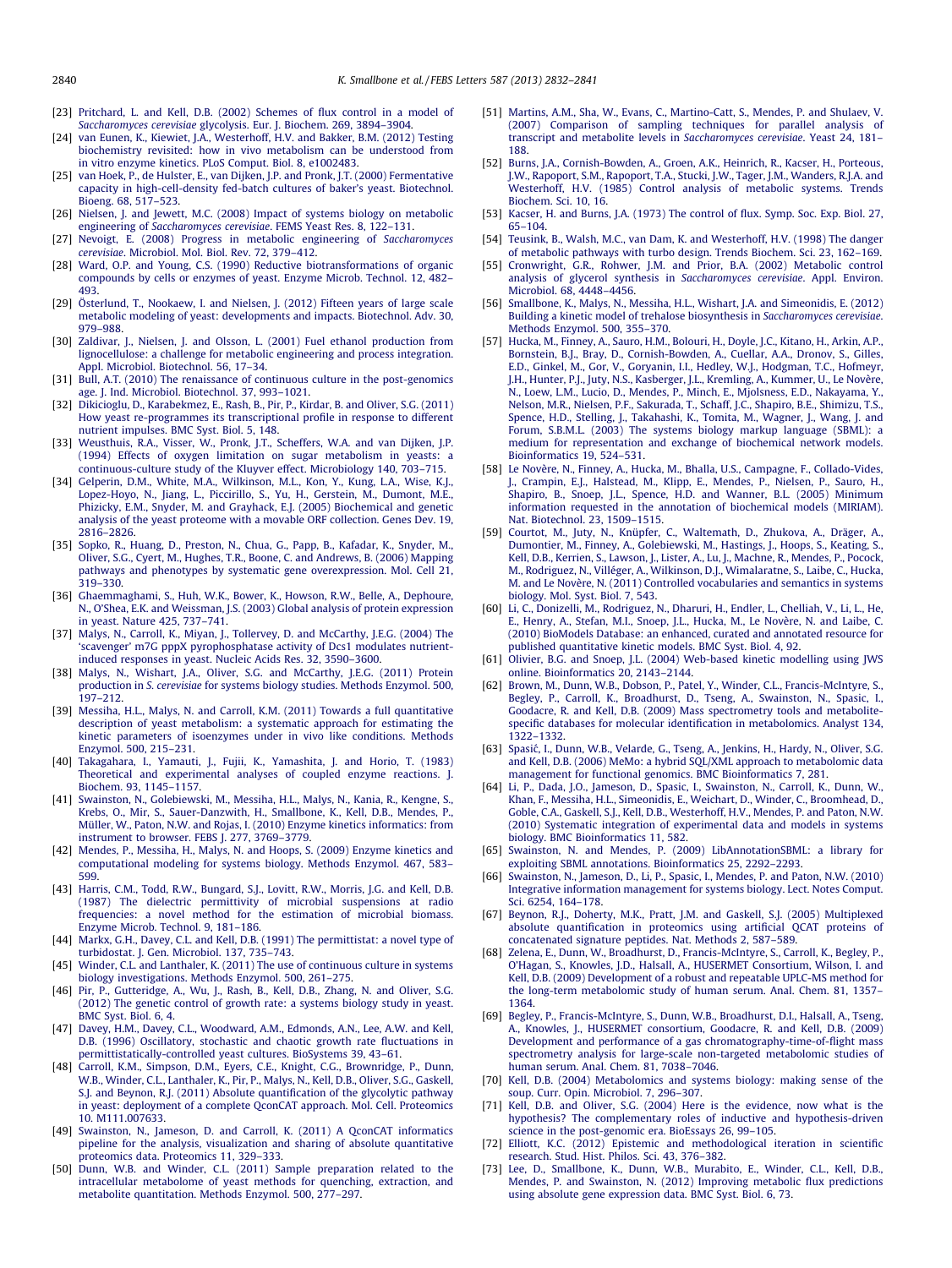- <span id="page-8-0"></span>[23] [Pritchard, L. and Kell, D.B. \(2002\) Schemes of flux control in a model of](http://refhub.elsevier.com/S0014-5793(13)00501-2/h0115) Saccharomyces cerevisiae [glycolysis. Eur. J. Biochem. 269, 3894–3904](http://refhub.elsevier.com/S0014-5793(13)00501-2/h0115).
- [24] van [Eunen, K., Kiewiet, J.A., Westerhoff, H.V. and Bakker, B.M. \(2012\) Testing](http://refhub.elsevier.com/S0014-5793(13)00501-2/h0120) [biochemistry revisited: how in vivo metabolism can be understood from](http://refhub.elsevier.com/S0014-5793(13)00501-2/h0120) [in vitro enzyme kinetics. PLoS Comput. Biol. 8, e1002483](http://refhub.elsevier.com/S0014-5793(13)00501-2/h0120).
- [25] [van Hoek, P., de Hulster, E., van Dijken, J.P. and Pronk, J.T. \(2000\) Fermentative](http://refhub.elsevier.com/S0014-5793(13)00501-2/h0125) [capacity in high-cell-density fed-batch cultures of baker's yeast. Biotechnol.](http://refhub.elsevier.com/S0014-5793(13)00501-2/h0125) [Bioeng. 68, 517–523](http://refhub.elsevier.com/S0014-5793(13)00501-2/h0125).
- [26] [Nielsen, J. and Jewett, M.C. \(2008\) Impact of systems biology on metabolic](http://refhub.elsevier.com/S0014-5793(13)00501-2/h0130) engineering of Saccharomyces cerevisiae[. FEMS Yeast Res. 8, 122–131.](http://refhub.elsevier.com/S0014-5793(13)00501-2/h0130)
- [27] Nevoigt, [E. \(2008\) Progress in metabolic engineering of](http://refhub.elsevier.com/S0014-5793(13)00501-2/h0135) Saccharomyces cerevisiae[. Microbiol. Mol. Biol. Rev. 72, 379–412](http://refhub.elsevier.com/S0014-5793(13)00501-2/h0135).
- [28] Ward, [O.P. and Young, C.S. \(1990\) Reductive biotransformations of organic](http://refhub.elsevier.com/S0014-5793(13)00501-2/h0140) [compounds by cells or enzymes of yeast. Enzyme Microb. Technol. 12, 482–](http://refhub.elsevier.com/S0014-5793(13)00501-2/h0140) [493.](http://refhub.elsevier.com/S0014-5793(13)00501-2/h0140)
- [29] [Österlund, T., Nookaew, I. and Nielsen, J. \(2012\) Fifteen years of large scale](http://refhub.elsevier.com/S0014-5793(13)00501-2/h0145) [metabolic modeling of yeast: developments and impacts. Biotechnol. Adv. 30,](http://refhub.elsevier.com/S0014-5793(13)00501-2/h0145) [979–988.](http://refhub.elsevier.com/S0014-5793(13)00501-2/h0145)
- [30] [Zaldivar, J., Nielsen, J. and Olsson, L. \(2001\) Fuel ethanol production from](http://refhub.elsevier.com/S0014-5793(13)00501-2/h0150) [lignocellulose: a challenge for metabolic engineering and process integration.](http://refhub.elsevier.com/S0014-5793(13)00501-2/h0150) [Appl. Microbiol. Biotechnol. 56, 17–34.](http://refhub.elsevier.com/S0014-5793(13)00501-2/h0150)
- [31] [Bull, A.T. \(2010\) The renaissance of continuous culture in the post-genomics](http://refhub.elsevier.com/S0014-5793(13)00501-2/h0155) [age. J. Ind. Microbiol. Biotechnol. 37, 993–1021.](http://refhub.elsevier.com/S0014-5793(13)00501-2/h0155)
- [32] [Dikicioglu, D., Karabekmez, E., Rash, B., Pir, P., Kirdar, B. and Oliver, S.G. \(2011\)](http://refhub.elsevier.com/S0014-5793(13)00501-2/h0160) [How yeast re-programmes its transcriptional profile in response to different](http://refhub.elsevier.com/S0014-5793(13)00501-2/h0160) [nutrient impulses. BMC Syst. Biol. 5, 148](http://refhub.elsevier.com/S0014-5793(13)00501-2/h0160).
- [33] [Weusthuis, R.A., Visser, W., Pronk, J.T., Scheffers, W.A. and van Dijken, J.P.](http://refhub.elsevier.com/S0014-5793(13)00501-2/h0165) [\(1994\) Effects of oxygen limitation on sugar metabolism in yeasts: a](http://refhub.elsevier.com/S0014-5793(13)00501-2/h0165) [continuous-culture study of the Kluyver effect. Microbiology 140, 703–715.](http://refhub.elsevier.com/S0014-5793(13)00501-2/h0165)
- [34] [Gelperin, D.M., White, M.A., Wilkinson, M.L., Kon, Y., Kung, L.A., Wise, K.J.,](http://refhub.elsevier.com/S0014-5793(13)00501-2/h0170) [Lopez-Hoyo, N., Jiang, L., Piccirillo, S., Yu, H., Gerstein, M., Dumont, M.E.,](http://refhub.elsevier.com/S0014-5793(13)00501-2/h0170) [Phizicky, E.M., Snyder, M. and Grayhack, E.J. \(2005\) Biochemical and genetic](http://refhub.elsevier.com/S0014-5793(13)00501-2/h0170) [analysis of the yeast proteome with a movable ORF collection. Genes Dev. 19,](http://refhub.elsevier.com/S0014-5793(13)00501-2/h0170) [2816–2826.](http://refhub.elsevier.com/S0014-5793(13)00501-2/h0170)
- [35] [Sopko, R., Huang, D., Preston, N., Chua, G., Papp, B., Kafadar, K., Snyder, M.,](http://refhub.elsevier.com/S0014-5793(13)00501-2/h0175) [Oliver, S.G., Cyert, M., Hughes, T.R., Boone, C. and Andrews, B. \(2006\) Mapping](http://refhub.elsevier.com/S0014-5793(13)00501-2/h0175) [pathways and phenotypes by systematic gene overexpression. Mol. Cell 21,](http://refhub.elsevier.com/S0014-5793(13)00501-2/h0175) [319–330.](http://refhub.elsevier.com/S0014-5793(13)00501-2/h0175)
- [36] [Ghaemmaghami, S., Huh, W.K., Bower, K., Howson, R.W., Belle, A., Dephoure,](http://refhub.elsevier.com/S0014-5793(13)00501-2/h0180) [N., O'Shea, E.K. and Weissman, J.S. \(2003\) Global analysis of protein expression](http://refhub.elsevier.com/S0014-5793(13)00501-2/h0180) [in yeast. Nature 425, 737–741](http://refhub.elsevier.com/S0014-5793(13)00501-2/h0180).
- [37] [Malys, N., Carroll, K., Miyan, J., Tollervey, D. and McCarthy, J.E.G. \(2004\) The](http://refhub.elsevier.com/S0014-5793(13)00501-2/h0185) ['scavenger' m7G pppX pyrophosphatase activity of Dcs1 modulates nutrient](http://refhub.elsevier.com/S0014-5793(13)00501-2/h0185)[induced responses in yeast. Nucleic Acids Res. 32, 3590–3600](http://refhub.elsevier.com/S0014-5793(13)00501-2/h0185).
- [38] [Malys, N., Wishart, J.A., Oliver, S.G. and McCarthy, J.E.G. \(2011\) Protein](http://refhub.elsevier.com/S0014-5793(13)00501-2/h0190) production in S. cerevisiae [for systems biology studies. Methods Enzymol. 500,](http://refhub.elsevier.com/S0014-5793(13)00501-2/h0190) [197–212.](http://refhub.elsevier.com/S0014-5793(13)00501-2/h0190)
- [39] [Messiha, H.L., Malys, N. and Carroll, K.M. \(2011\) Towards a full quantitative](http://refhub.elsevier.com/S0014-5793(13)00501-2/h0195) [description of yeast metabolism: a systematic approach for estimating the](http://refhub.elsevier.com/S0014-5793(13)00501-2/h0195) [kinetic parameters of isoenzymes under in vivo like conditions. Methods](http://refhub.elsevier.com/S0014-5793(13)00501-2/h0195) [Enzymol. 500, 215–231.](http://refhub.elsevier.com/S0014-5793(13)00501-2/h0195)
- [40] [Takagahara, I., Yamauti, J., Fujii, K., Yamashita, J. and Horio, T. \(1983\)](http://refhub.elsevier.com/S0014-5793(13)00501-2/h0200) [Theoretical and experimental analyses of coupled enzyme reactions. J.](http://refhub.elsevier.com/S0014-5793(13)00501-2/h0200) [Biochem. 93, 1145–1157.](http://refhub.elsevier.com/S0014-5793(13)00501-2/h0200)
- [41] [Swainston, N., Golebiewski, M., Messiha, H.L., Malys, N., Kania, R., Kengne, S.,](http://refhub.elsevier.com/S0014-5793(13)00501-2/h0205) [Krebs, O., Mir, S., Sauer-Danzwith, H., Smallbone, K., Kell, D.B., Mendes, P.,](http://refhub.elsevier.com/S0014-5793(13)00501-2/h0205) [Müller, W., Paton, N.W. and Rojas, I. \(2010\) Enzyme kinetics informatics: from](http://refhub.elsevier.com/S0014-5793(13)00501-2/h0205) [instrument to browser. FEBS J. 277, 3769–3779](http://refhub.elsevier.com/S0014-5793(13)00501-2/h0205).
- [42] [Mendes, P., Messiha, H., Malys, N. and Hoops, S. \(2009\) Enzyme kinetics and](http://refhub.elsevier.com/S0014-5793(13)00501-2/h0210) [computational modeling for systems biology. Methods Enzymol. 467, 583–](http://refhub.elsevier.com/S0014-5793(13)00501-2/h0210) [599.](http://refhub.elsevier.com/S0014-5793(13)00501-2/h0210)
- [43] [Harris, C.M., Todd, R.W., Bungard, S.J., Lovitt, R.W., Morris, J.G. and Kell, D.B.](http://refhub.elsevier.com/S0014-5793(13)00501-2/h0215) [\(1987\) The dielectric permittivity of microbial suspensions at radio](http://refhub.elsevier.com/S0014-5793(13)00501-2/h0215) [frequencies: a novel method for the estimation of microbial biomass.](http://refhub.elsevier.com/S0014-5793(13)00501-2/h0215) [Enzyme Microb. Technol. 9, 181–186](http://refhub.elsevier.com/S0014-5793(13)00501-2/h0215).
- [44] [Markx, G.H., Davey, C.L. and Kell, D.B. \(1991\) The permittistat: a novel type of](http://refhub.elsevier.com/S0014-5793(13)00501-2/h0220) [turbidostat. J. Gen. Microbiol. 137, 735–743](http://refhub.elsevier.com/S0014-5793(13)00501-2/h0220).
- [45] [Winder, C.L. and Lanthaler, K. \(2011\) The use of continuous culture in systems](http://refhub.elsevier.com/S0014-5793(13)00501-2/h0225) [biology investigations. Methods Enzymol. 500, 261–275.](http://refhub.elsevier.com/S0014-5793(13)00501-2/h0225)
- [46] [Pir, P., Gutteridge, A., Wu, J., Rash, B., Kell, D.B., Zhang, N. and Oliver, S.G.](http://refhub.elsevier.com/S0014-5793(13)00501-2/h0230) [\(2012\) The genetic control of growth rate: a systems biology study in yeast.](http://refhub.elsevier.com/S0014-5793(13)00501-2/h0230) [BMC Syst. Biol. 6, 4](http://refhub.elsevier.com/S0014-5793(13)00501-2/h0230).
- [47] [Davey, H.M., Davey, C.L., Woodward, A.M., Edmonds, A.N., Lee, A.W. and Kell,](http://refhub.elsevier.com/S0014-5793(13)00501-2/h0235) [D.B. \(1996\) Oscillatory, stochastic and chaotic growth rate fluctuations in](http://refhub.elsevier.com/S0014-5793(13)00501-2/h0235) [permittistatically-controlled yeast cultures. BioSystems 39, 43–61](http://refhub.elsevier.com/S0014-5793(13)00501-2/h0235).
- [48] [Carroll, K.M., Simpson, D.M., Eyers, C.E., Knight, C.G., Brownridge, P., Dunn,](http://refhub.elsevier.com/S0014-5793(13)00501-2/h0240) [W.B., Winder, C.L., Lanthaler, K., Pir, P., Malys, N., Kell, D.B., Oliver, S.G., Gaskell,](http://refhub.elsevier.com/S0014-5793(13)00501-2/h0240) [S.J. and Beynon, R.J. \(2011\) Absolute quantification of the glycolytic pathway](http://refhub.elsevier.com/S0014-5793(13)00501-2/h0240) [in yeast: deployment of a complete QconCAT approach. Mol. Cell. Proteomics](http://refhub.elsevier.com/S0014-5793(13)00501-2/h0240) [10. M111.007633](http://refhub.elsevier.com/S0014-5793(13)00501-2/h0240).
- [49] [Swainston, N., Jameson, D. and Carroll, K. \(2011\) A QconCAT informatics](http://refhub.elsevier.com/S0014-5793(13)00501-2/h0245) [pipeline for the analysis, visualization and sharing of absolute quantitative](http://refhub.elsevier.com/S0014-5793(13)00501-2/h0245) [proteomics data. Proteomics 11, 329–333.](http://refhub.elsevier.com/S0014-5793(13)00501-2/h0245)
- [50] [Dunn, W.B. and Winder, C.L. \(2011\) Sample preparation related to the](http://refhub.elsevier.com/S0014-5793(13)00501-2/h0250) [intracellular metabolome of yeast methods for quenching, extraction, and](http://refhub.elsevier.com/S0014-5793(13)00501-2/h0250) [metabolite quantitation. Methods Enzymol. 500, 277–297](http://refhub.elsevier.com/S0014-5793(13)00501-2/h0250).
- [51] [Martins, A.M., Sha, W., Evans, C., Martino-Catt, S., Mendes, P. and Shulaev, V.](http://refhub.elsevier.com/S0014-5793(13)00501-2/h0255) [\(2007\) Comparison of sampling techniques for parallel analysis of](http://refhub.elsevier.com/S0014-5793(13)00501-2/h0255) [transcript and metabolite levels in](http://refhub.elsevier.com/S0014-5793(13)00501-2/h0255) Saccharomyces cerevisiae. Yeast 24, 181– [188.](http://refhub.elsevier.com/S0014-5793(13)00501-2/h0255)
- [52] [Burns, J.A., Cornish-Bowden, A., Groen, A.K., Heinrich, R., Kacser, H., Porteous,](http://refhub.elsevier.com/S0014-5793(13)00501-2/h0260) [J.W., Rapoport, S.M., Rapoport, T.A., Stucki, J.W., Tager, J.M., Wanders, R.J.A. and](http://refhub.elsevier.com/S0014-5793(13)00501-2/h0260) [Westerhoff, H.V. \(1985\) Control analysis of metabolic systems. Trends](http://refhub.elsevier.com/S0014-5793(13)00501-2/h0260) [Biochem. Sci. 10, 16](http://refhub.elsevier.com/S0014-5793(13)00501-2/h0260).
- [53] [Kacser, H. and Burns, J.A. \(1973\) The control of flux. Symp. Soc. Exp. Biol. 27,](http://refhub.elsevier.com/S0014-5793(13)00501-2/h0265) [65–104](http://refhub.elsevier.com/S0014-5793(13)00501-2/h0265).
- [54] [Teusink, B., Walsh, M.C., van Dam, K. and Westerhoff, H.V. \(1998\) The danger](http://refhub.elsevier.com/S0014-5793(13)00501-2/h0270) [of metabolic pathways with turbo design. Trends Biochem. Sci. 23, 162–169](http://refhub.elsevier.com/S0014-5793(13)00501-2/h0270).
- [55] [Cronwright, G.R., Rohwer, J.M. and Prior, B.A. \(2002\) Metabolic control](http://refhub.elsevier.com/S0014-5793(13)00501-2/h0275) [analysis of glycerol synthesis in](http://refhub.elsevier.com/S0014-5793(13)00501-2/h0275) Saccharomyces cerevisiae. Appl. Environ. [Microbiol. 68, 4448–4456.](http://refhub.elsevier.com/S0014-5793(13)00501-2/h0275)
- [56] [Smallbone, K., Malys, N., Messiha, H.L., Wishart, J.A. and Simeonidis, E. \(2012\)](http://refhub.elsevier.com/S0014-5793(13)00501-2/h0280) [Building a kinetic model of trehalose biosynthesis in](http://refhub.elsevier.com/S0014-5793(13)00501-2/h0280) Saccharomyces cerevisiae. [Methods Enzymol. 500, 355–370](http://refhub.elsevier.com/S0014-5793(13)00501-2/h0280).
- [57] [Hucka, M., Finney, A., Sauro, H.M., Bolouri, H., Doyle, J.C., Kitano, H., Arkin, A.P.,](http://refhub.elsevier.com/S0014-5793(13)00501-2/h0285) [Bornstein, B.J., Bray, D., Cornish-Bowden, A., Cuellar, A.A., Dronov, S., Gilles,](http://refhub.elsevier.com/S0014-5793(13)00501-2/h0285) [E.D., Ginkel, M., Gor, V., Goryanin, I.I., Hedley, W.J., Hodgman, T.C., Hofmeyr,](http://refhub.elsevier.com/S0014-5793(13)00501-2/h0285) [J.H., Hunter, P.J., Juty, N.S., Kasberger, J.L., Kremling, A., Kummer, U., Le Novère,](http://refhub.elsevier.com/S0014-5793(13)00501-2/h0285) [N., Loew, L.M., Lucio, D., Mendes, P., Minch, E., Mjolsness, E.D., Nakayama, Y.,](http://refhub.elsevier.com/S0014-5793(13)00501-2/h0285) [Nelson, M.R., Nielsen, P.F., Sakurada, T., Schaff, J.C., Shapiro, B.E., Shimizu, T.S.,](http://refhub.elsevier.com/S0014-5793(13)00501-2/h0285) [Spence, H.D., Stelling, J., Takahashi, K., Tomita, M., Wagner, J., Wang, J. and](http://refhub.elsevier.com/S0014-5793(13)00501-2/h0285) [Forum, S.B.M.L. \(2003\) The systems biology markup language \(SBML\): a](http://refhub.elsevier.com/S0014-5793(13)00501-2/h0285) [medium for representation and exchange of biochemical network models.](http://refhub.elsevier.com/S0014-5793(13)00501-2/h0285) [Bioinformatics 19, 524–531](http://refhub.elsevier.com/S0014-5793(13)00501-2/h0285).
- [58] [Le Novère, N., Finney, A., Hucka, M., Bhalla, U.S., Campagne, F., Collado-Vides,](http://refhub.elsevier.com/S0014-5793(13)00501-2/h0290) [J., Crampin, E.J., Halstead, M., Klipp, E., Mendes, P., Nielsen, P., Sauro, H.,](http://refhub.elsevier.com/S0014-5793(13)00501-2/h0290) [Shapiro, B., Snoep, J.L., Spence, H.D. and Wanner, B.L. \(2005\) Minimum](http://refhub.elsevier.com/S0014-5793(13)00501-2/h0290) [information requested in the annotation of biochemical models \(MIRIAM\).](http://refhub.elsevier.com/S0014-5793(13)00501-2/h0290) [Nat. Biotechnol. 23, 1509–1515.](http://refhub.elsevier.com/S0014-5793(13)00501-2/h0290)
- [59] [Courtot, M., Juty, N., Knüpfer, C., Waltemath, D., Zhukova, A., Dräger, A.,](http://refhub.elsevier.com/S0014-5793(13)00501-2/h0295) [Dumontier, M., Finney, A., Golebiewski, M., Hastings, J., Hoops, S., Keating, S.,](http://refhub.elsevier.com/S0014-5793(13)00501-2/h0295) [Kell, D.B., Kerrien, S., Lawson, J., Lister, A., Lu, J., Machne, R., Mendes, P., Pocock,](http://refhub.elsevier.com/S0014-5793(13)00501-2/h0295) [M., Rodriguez, N., Villéger, A., Wilkinson, D.J., Wimalaratne, S., Laibe, C., Hucka,](http://refhub.elsevier.com/S0014-5793(13)00501-2/h0295) [M. and Le Novère, N. \(2011\) Controlled vocabularies and semantics in systems](http://refhub.elsevier.com/S0014-5793(13)00501-2/h0295) [biology. Mol. Syst. Biol. 7, 543.](http://refhub.elsevier.com/S0014-5793(13)00501-2/h0295)
- [60] [Li, C., Donizelli, M., Rodriguez, N., Dharuri, H., Endler, L., Chelliah, V., Li, L., He,](http://refhub.elsevier.com/S0014-5793(13)00501-2/h0300) [E., Henry, A., Stefan, M.I., Snoep, J.L., Hucka, M., Le Novère, N. and Laibe, C.](http://refhub.elsevier.com/S0014-5793(13)00501-2/h0300) [\(2010\) BioModels Database: an enhanced, curated and annotated resource for](http://refhub.elsevier.com/S0014-5793(13)00501-2/h0300) [published quantitative kinetic models. BMC Syst. Biol. 4, 92.](http://refhub.elsevier.com/S0014-5793(13)00501-2/h0300)
- [61] [Olivier, B.G. and Snoep, J.L. \(2004\) Web-based kinetic modelling using JWS](http://refhub.elsevier.com/S0014-5793(13)00501-2/h0305) [online. Bioinformatics 20, 2143–2144.](http://refhub.elsevier.com/S0014-5793(13)00501-2/h0305)
- [62] [Brown, M., Dunn, W.B., Dobson, P., Patel, Y., Winder, C.L., Francis-McIntyre, S.,](http://refhub.elsevier.com/S0014-5793(13)00501-2/h0310) [Begley, P., Carroll, K., Broadhurst, D., Tseng, A., Swainston, N., Spasic, I.,](http://refhub.elsevier.com/S0014-5793(13)00501-2/h0310) [Goodacre, R. and Kell, D.B. \(2009\) Mass spectrometry tools and metabolite](http://refhub.elsevier.com/S0014-5793(13)00501-2/h0310)[specific databases for molecular identification in metabolomics. Analyst 134,](http://refhub.elsevier.com/S0014-5793(13)00501-2/h0310) [1322–1332.](http://refhub.elsevier.com/S0014-5793(13)00501-2/h0310)
- [63] Spasić, I., Dunn, W.B., Velarde, G., Tseng, A., Jenkins, H., Hardy, N., Oliver, S.G. [and Kell, D.B. \(2006\) MeMo: a hybrid SQL/XML approach to metabolomic data](http://refhub.elsevier.com/S0014-5793(13)00501-2/h0315) [management for functional genomics. BMC Bioinformatics 7, 281](http://refhub.elsevier.com/S0014-5793(13)00501-2/h0315).
- [64] [Li, P., Dada, J.O., Jameson, D., Spasic, I., Swainston, N., Carroll, K., Dunn, W.,](http://refhub.elsevier.com/S0014-5793(13)00501-2/h0320) [Khan, F., Messiha, H.L., Simeonidis, E., Weichart, D., Winder, C., Broomhead, D.,](http://refhub.elsevier.com/S0014-5793(13)00501-2/h0320) [Goble, C.A., Gaskell, S.J., Kell, D.B., Westerhoff, H.V., Mendes, P. and Paton, N.W.](http://refhub.elsevier.com/S0014-5793(13)00501-2/h0320) [\(2010\) Systematic integration of experimental data and models in systems](http://refhub.elsevier.com/S0014-5793(13)00501-2/h0320) [biology. BMC Bioinformatics 11, 582](http://refhub.elsevier.com/S0014-5793(13)00501-2/h0320).
- [65] [Swainston, N. and Mendes, P. \(2009\) LibAnnotationSBML: a library for](http://refhub.elsevier.com/S0014-5793(13)00501-2/h0325) [exploiting SBML annotations. Bioinformatics 25, 2292–2293.](http://refhub.elsevier.com/S0014-5793(13)00501-2/h0325)
- [66] [Swainston, N., Jameson, D., Li, P., Spasic, I., Mendes, P. and Paton, N.W. \(2010\)](http://refhub.elsevier.com/S0014-5793(13)00501-2/h0330) [Integrative information management for systems biology. Lect. Notes Comput.](http://refhub.elsevier.com/S0014-5793(13)00501-2/h0330) [Sci. 6254, 164–178.](http://refhub.elsevier.com/S0014-5793(13)00501-2/h0330)
- [67] [Beynon, R.J., Doherty, M.K., Pratt, J.M. and Gaskell, S.J. \(2005\) Multiplexed](http://refhub.elsevier.com/S0014-5793(13)00501-2/h0335) [absolute quantification in proteomics using artificial QCAT proteins of](http://refhub.elsevier.com/S0014-5793(13)00501-2/h0335) [concatenated signature peptides. Nat. Methods 2, 587–589.](http://refhub.elsevier.com/S0014-5793(13)00501-2/h0335)
- [68] [Zelena, E., Dunn, W., Broadhurst, D., Francis-McIntyre, S., Carroll, K., Begley, P.,](http://refhub.elsevier.com/S0014-5793(13)00501-2/h0340) [O'Hagan, S., Knowles, J.D., Halsall, A., HUSERMET Consortium, Wilson, I. and](http://refhub.elsevier.com/S0014-5793(13)00501-2/h0340) [Kell, D.B. \(2009\) Development of a robust and repeatable UPLC-MS method for](http://refhub.elsevier.com/S0014-5793(13)00501-2/h0340) [the long-term metabolomic study of human serum. Anal. Chem. 81, 1357–](http://refhub.elsevier.com/S0014-5793(13)00501-2/h0340) [1364](http://refhub.elsevier.com/S0014-5793(13)00501-2/h0340).
- [69] [Begley, P., Francis-McIntyre, S., Dunn, W.B., Broadhurst, D.I., Halsall, A., Tseng,](http://refhub.elsevier.com/S0014-5793(13)00501-2/h0345) [A., Knowles, J., HUSERMET consortium, Goodacre, R. and Kell, D.B. \(2009\)](http://refhub.elsevier.com/S0014-5793(13)00501-2/h0345) [Development and performance of a gas chromatography-time-of-flight mass](http://refhub.elsevier.com/S0014-5793(13)00501-2/h0345) [spectrometry analysis for large-scale non-targeted metabolomic studies of](http://refhub.elsevier.com/S0014-5793(13)00501-2/h0345) [human serum. Anal. Chem. 81, 7038–7046](http://refhub.elsevier.com/S0014-5793(13)00501-2/h0345).
- [70] [Kell, D.B. \(2004\) Metabolomics and systems biology: making sense of the](http://refhub.elsevier.com/S0014-5793(13)00501-2/h0350) [soup. Curr. Opin. Microbiol. 7, 296–307](http://refhub.elsevier.com/S0014-5793(13)00501-2/h0350).
- [71] [Kell, D.B. and Oliver, S.G. \(2004\) Here is the evidence, now what is the](http://refhub.elsevier.com/S0014-5793(13)00501-2/h0355) [hypothesis? The complementary roles of inductive and hypothesis-driven](http://refhub.elsevier.com/S0014-5793(13)00501-2/h0355) [science in the post-genomic era. BioEssays 26, 99–105](http://refhub.elsevier.com/S0014-5793(13)00501-2/h0355).
- [72] [Elliott, K.C. \(2012\) Epistemic and methodological iteration in scientific](http://refhub.elsevier.com/S0014-5793(13)00501-2/h0360) [research. Stud. Hist. Philos. Sci. 43, 376–382.](http://refhub.elsevier.com/S0014-5793(13)00501-2/h0360)
- [73] [Lee, D., Smallbone, K., Dunn, W.B., Murabito, E., Winder, C.L., Kell, D.B.,](http://refhub.elsevier.com/S0014-5793(13)00501-2/h0365) [Mendes, P. and Swainston, N. \(2012\) Improving metabolic flux predictions](http://refhub.elsevier.com/S0014-5793(13)00501-2/h0365) [using absolute gene expression data. BMC Syst. Biol. 6, 73.](http://refhub.elsevier.com/S0014-5793(13)00501-2/h0365)